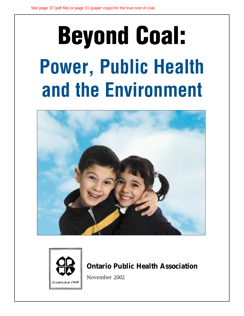# **Beyond Coal:** Power, Public Health and the Environment





# **Ontario Public Health Association**

November 2002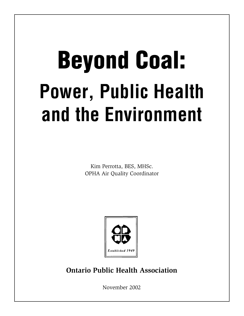# Beyond Coal: Power, Public Health and the Environment

Kim Perrotta, BES, MHSc. OPHA Air Quality Coordinator



**Ontario Public Health Association**

November 2002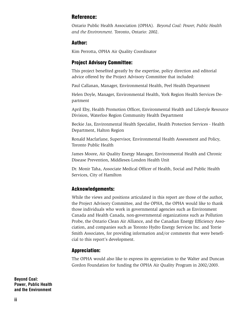# Reference:

Ontario Public Health Association (OPHA). *Beyond Coal: Power, Public Health and the Environment.* Toronto, Ontario: 2002.

#### Author:

Kim Perrotta, OPHA Air Quality Coordinator

# Project Advisory Committee:

This project benefited greatly by the expertise, policy direction and editorial advice offered by the Project Advisory Committee that included:

Paul Callanan, Manager, Environmental Health, Peel Health Department

Helen Doyle, Manager, Environmental Health, York Region Health Services Department

April Eby, Health Promotion Officer, Environmental Health and Lifestyle Resource Division, Waterloo Region Community Health Department

Beckie Jas, Environmental Health Specialist, Health Protection Services - Health Department, Halton Region

Ronald Macfarlane, Supervisor, Environmental Health Assessment and Policy, Toronto Public Health

James Moore, Air Quality Energy Manager, Environmental Health and Chronic Disease Prevention, Middlesex-London Health Unit

Dr. Monir Taha, Associate Medical Officer of Health, Social and Public Health Services, City of Hamilton

# Acknowledgements:

While the views and positions articulated in this report are those of the author, the Project Advisory Committee, and the OPHA, the OPHA would like to thank those individuals who work in governmental agencies such as Environment Canada and Health Canada, non-governmental organizations such as Pollution Probe, the Ontario Clean Air Alliance, and the Canadian Energy Efficiency Association, and companies such as Toronto Hydro Energy Services Inc. and Torrie Smith Associates, for providing information and/or comments that were beneficial to this report's development.

# Appreciation:

The OPHA would also like to express its appreciation to the Walter and Duncan Gordon Foundation for funding the OPHA Air Quality Program in 2002/2003.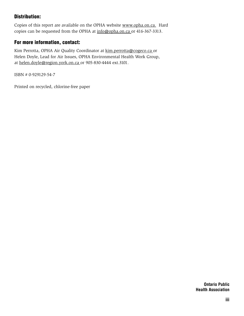# Distribution:

Copies of this report are available on the OPHA website www.opha.on.ca. Hard copies can be requested from the OPHA at info@opha.on.ca or 416-367-3313.

# For more information, contact:

Kim Perrotta, OPHA Air Quality Coordinator at kim.perrotta@cogeco.ca or Helen Doyle, Lead for Air Issues, OPHA Environmental Health Work Group, at helen.doyle@region.york.on.ca or 905-830-4444 ext.3101.

ISBN # 0-929129-54-7

Printed on recycled, chlorine-free paper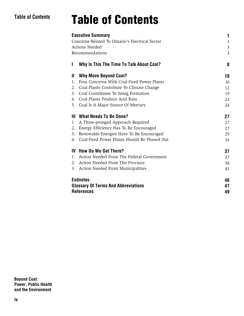# Table of Contents

# Table of Contents

| 1                              |
|--------------------------------|
| 3<br>$\mathfrak{Z}$<br>8<br>10 |
|                                |
|                                |
|                                |
|                                |
| 10                             |
| 12                             |
| 19                             |
| 23                             |
| 24                             |
| 27                             |
| 27                             |
| 27                             |
| 29                             |
| 33                             |
| 37                             |
| 37                             |
| 38                             |
| 43                             |
| 46                             |
| 47                             |
|                                |
|                                |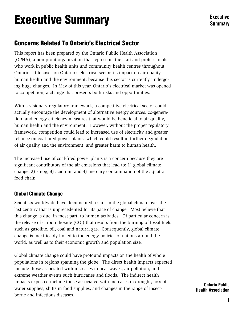# Executive Summary

# **Concerns Related To Ontario's Electrical Sector**

This report has been prepared by the Ontario Public Health Association (OPHA), a non-profit organization that represents the staff and professionals who work in public health units and community health centres throughout Ontario. It focuses on Ontario's electrical sector, its impact on air quality, human health and the environment, because this sector is currently undergoing huge changes. In May of this year, Ontario's electrical market was opened to competition, a change that presents both risks and opportunities.

With a visionary regulatory framework, a competitive electrical sector could actually encourage the development of alternative energy sources, co-generation, and energy efficiency measures that would be beneficial to air quality, human health and the environment. However, without the proper regulatory framework, competition could lead to increased use of electricity and greater reliance on coal-fired power plants, which could result in further degradation of air quality and the environment, and greater harm to human health.

The increased use of coal-fired power plants is a concern because they are significant contributors of the air emissions that lead to: 1) global climate change, 2) smog, 3) acid rain and 4) mercury contamination of the aquatic food chain.

# Global Climate Change

Scientists worldwide have documented a shift in the global climate over the last century that is unprecedented for its pace of change. Most believe that this change is due, in most part, to human activities. Of particular concern is the release of carbon dioxide  $(CO_2)$  that results from the burning of fossil fuels such as gasoline, oil, coal and natural gas. Consequently, global climate change is inextricably linked to the energy policies of nations around the world, as well as to their economic growth and population size.

Global climate change could have profound impacts on the health of whole populations in regions spanning the globe. The direct health impacts expected include those associated with increases in heat waves, air pollution, and extreme weather events such hurricanes and floods. The indirect health impacts expected include those associated with increases in drought, loss of water supplies, shifts in food supplies, and changes in the range of insectborne and infectious diseases.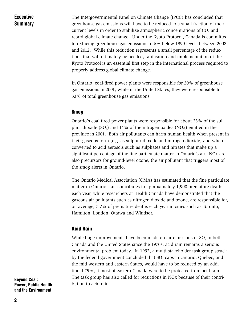Executive **Summary**  The Intergovernmental Panel on Climate Change (IPCC) has concluded that greenhouse gas emissions will have to be reduced to a small fraction of their current levels in order to stabilize atmospheric concentrations of  $\mathrm{CO}__2$  and retard global climate change. Under the Kyoto Protocol, Canada is committed to reducing greenhouse gas emissions to 6% below 1990 levels between 2008 and 2012. While this reduction represents a small percentage of the reductions that will ultimately be needed, ratification and implementation of the Kyoto Protocol is an essential first step in the international process required to properly address global climate change.

In Ontario, coal-fired power plants were responsible for 20% of greenhouse gas emissions in 2001, while in the United States, they were responsible for 33% of total greenhouse gas emissions.

#### Smog

Ontario's coal-fired power plants were responsible for about 23% of the sulphur dioxide  $(SO_2)$  and 14% of the nitrogen oxides (NOx) emitted in the province in 2001. Both air pollutants can harm human health when present in their gaseous form (e.g. as sulphur dioxide and nitrogen dioxide) and when converted to acid aerosols such as sulphates and nitrates that make up a significant percentage of the fine particulate matter in Ontario's air. NOx are also precursors for ground-level ozone, the air pollutant that triggers most of the smog alerts in Ontario.

The Ontario Medical Association (OMA) has estimated that the fine particulate matter in Ontario's air contributes to approximately 1,900 premature deaths each year, while researchers at Health Canada have demonstrated that the gaseous air pollutants such as nitrogen dioxide and ozone, are responsible for, on average, 7.7% of premature deaths each year in cities such as Toronto, Hamilton, London, Ottawa and Windsor.

#### Acid Rain

While huge improvements have been made on air emissions of SO<sub>2</sub> in both Canada and the United States since the 1970s, acid rain remains a serious environmental problem today. In 1997, a multi-stakeholder task group struck by the federal government concluded that  $\mathrm{SO}_2$  caps in Ontario, Quebec, and the mid-western and eastern States, would have to be reduced by an additional 75%, if most of eastern Canada were to be protected from acid rain. The task group has also called for reductions in NOx because of their contribution to acid rain.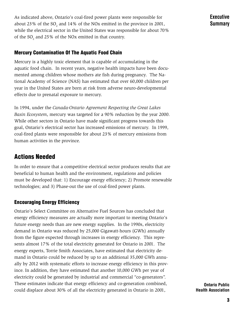As indicated above, Ontario's coal-fired power plants were responsible for about 23% of the SO<sub>2</sub> and 14% of the NOx emitted in the province in 2001, while the electrical sector in the United States was responsible for about 70% of the  $SO_2$  and 25% of the NOx emitted in that country.

Mercury Contamination Of The Aquatic Food Chain

Mercury is a highly toxic element that is capable of accumulating in the aquatic food chain. In recent years, negative health impacts have been documented among children whose mothers ate fish during pregnancy. The National Academy of Science (NAS) has estimated that over 60,000 children per year in the United States are born at risk from adverse neuro-developmental effects due to prenatal exposure to mercury.

In 1994, under the *Canada-Ontario Agreement Respecting the Great Lakes Basin Ecosystem*, mercury was targeted for a 90% reduction by the year 2000. While other sectors in Ontario have made significant progress towards this goal, Ontario's electrical sector has increased emissions of mercury. In 1999, coal-fired plants were responsible for about 23% of mercury emissions from human activities in the province.

# Actions Needed

In order to ensure that a competitive electrical sector produces results that are beneficial to human health and the environment, regulations and policies must be developed that: 1) Encourage energy efficiency; 2) Promote renewable technologies; and 3) Phase-out the use of coal-fired power plants.

# Encouraging Energy Efficiency

Ontario's Select Committee on Alternative Fuel Sources has concluded that energy efficiency measures are actually more important to meeting Ontario's future energy needs than are new energy supplies. In the 1990s, electricity demand in Ontario was reduced by 25,000 Gigawatt-hours (GWh) annually from the figure expected through increases in energy efficiency. This represents almost 17% of the total electricity generated for Ontario in 2001. The energy experts, Torrie Smith Associates, have estimated that electricity demand in Ontario could be reduced by up to an additional 35,000 GWh annually by 2012 with systematic efforts to increase energy efficiency in this province. In addition, they have estimated that another 10,000 GWh per year of electricity could be generated by industrial and commercial "co-generators". These estimates indicate that energy efficiency and co-generation combined, could displace about 30% of all the electricity generated in Ontario in 2001,

Executive **Summary**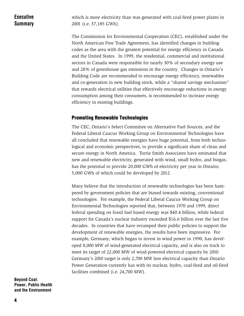# **Executive Summary**

which is more electricity than was generated with coal-fired power plants in 2001 (i.e. 37,185 GWh).

The Commission for Environmental Cooperation (CEC), established under the North American Free Trade Agreement, has identified changes in building codes as the area with the greatest potential for energy efficiency in Canada and the United States. In 1999, the residential, commercial and institutional sectors in Canada were responsible for nearly 30% of secondary energy use and 28% of greenhouse gas emissions in the country. Changes in Ontario's Building Code are recommended to encourage energy efficiency, renewables and co-generation in new building stock, while a "shared savings mechanism" that rewards electrical utilities that effectively encourage reductions in energy consumption among their consumers, is recommended to increase energy efficiency in existing buildings.

# Promoting Renewable Technologies

The CEC, Ontario's Select Committee on Alternative Fuel Sources, and the Federal Liberal Caucus Working Group on Environmental Technologies have all concluded that renewable energies have huge potential, from both technological and economic perspectives, to provide a significant share of clean and secure energy in North America. Torrie Smith Associates have estimated that new and renewable electricity, generated with wind, small hydro, and biogas, has the potential to provide 20,000 GWh of electricity per year in Ontario; 5,000 GWh of which could be developed by 2012.

Many believe that the introduction of renewable technologies has been hampered by government policies that are biased towards existing, conventional technologies. For example, the Federal Liberal Caucus Working Group on Environmental Technologies reported that, between 1970 and 1999, direct federal spending on fossil fuel based energy was \$40.4 billion, while federal support for Canada's nuclear industry exceeded \$16.6 billion over the last five decades. In countries that have revamped their public policies to support the development of renewable energies, the results have been impressive. For example, Germany, which began to invest in wind power in 1990, has developed 8,000 MW of wind-generated electrical capacity, and is also on track to meet its target of 22,000 MW of wind-powered electrical capacity by 2010. Germany's 2010 target is only 2,700 MW less electrical capacity than Ontario Power Generation currently has with its nuclear, hydro, coal-fired and oil-fired facilities combined (i.e. 24,700 MW).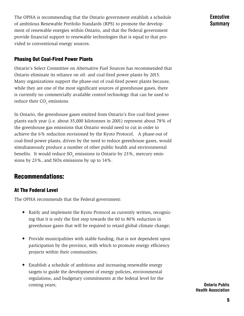The OPHA is recommending that the Ontario government establish a schedule of ambitious Renewable Portfolio Standards (RPS) to promote the development of renewable energies within Ontario, and that the Federal government provide financial support to renewable technologies that is equal to that provided to conventional energy sources.

# Phasing Out Coal-Fired Power Plants

Ontario's Select Committee on Alternative Fuel Sources has recommended that Ontario eliminate its reliance on oil- and coal-fired power plants by 2015. Many organizations support the phase-out of coal-fired power plants because, while they are one of the most significant sources of greenhouse gases, there is currently no commercially available control technology that can be used to reduce their  $\mathrm{CO}_2$  emissions.

In Ontario, the greenhouse gases emitted from Ontario's five coal-fired power plants each year (i.e. about 35,000 kilotonnes in 2001) represent about 78% of the greenhouse gas emissions that Ontario would need to cut in order to achieve the 6% reduction envisioned by the Kyoto Protocol. A phase-out of coal-fired power plants, driven by the need to reduce greenhouse gases, would simultaneously produce a number of other public health and environmental benefits. It would reduce SO<sub>2</sub> emissions in Ontario by 23%, mercury emissions by 23%, and NOx emissions by up to 14%.

# Recommendations:

# At The Federal Level

The OPHA recommends that the Federal government:

- ✦ Ratify and implement the Kyoto Protocol as currently written, recognizing that it is only the first step towards the 60 to 80% reduction in greenhouse gases that will be required to retard global climate change;
- ✦ Provide municipalities with stable funding, that is not dependent upon participation by the province, with which to promote energy efficiency projects within their communities;
- ✦ Establish a schedule of ambitious and increasing renewable energy targets to guide the development of energy policies, environmental regulations, and budgetary commitments at the federal level for the coming years;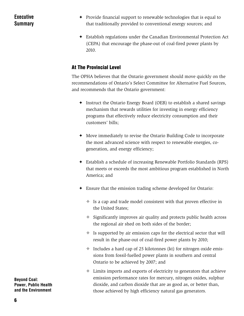# Executive **Summary**

- ✦ Provide financial support to renewable technologies that is equal to that traditionally provided to conventional energy sources; and
- ✦ Establish regulations under the Canadian Environmental Protection Act (CEPA) that encourage the phase-out of coal-fired power plants by 2010.

# At The Provincial Level

The OPHA believes that the Ontario government should move quickly on the recommendations of Ontario's Select Committee for Alternative Fuel Sources, and recommends that the Ontario government:

- ✦ Instruct the Ontario Energy Board (OEB) to establish a shared savings mechanism that rewards utilities for investing in energy efficiency programs that effectively reduce electricity consumption and their customers' bills;
- ✦ Move immediately to revise the Ontario Building Code to incorporate the most advanced science with respect to renewable energies, cogeneration, and energy efficiency;
- ✦ Establish a schedule of increasing Renewable Portfolio Standards (RPS) that meets or exceeds the most ambitious program established in North America; and
- ✦ Ensure that the emission trading scheme developed for Ontario:
	- $\diamond$  Is a cap and trade model consistent with that proven effective in the United States;
	- $\Diamond$  Significantly improves air quality and protects public health across the regional air shed on both sides of the border;
	- $\Diamond$  Is supported by air emission caps for the electrical sector that will result in the phase-out of coal-fired power plants by 2010;
	- $\Diamond$  Includes a hard cap of 25 kilotonnes (kt) for nitrogen oxide emissions from fossil-fuelled power plants in southern and central Ontario to be achieved by 2007; and
	- $\diamond$  Limits imports and exports of electricity to generators that achieve emission performance rates for mercury, nitrogen oxides, sulphur dioxide, and carbon dioxide that are as good as, or better than, those achieved by high efficiency natural gas generators.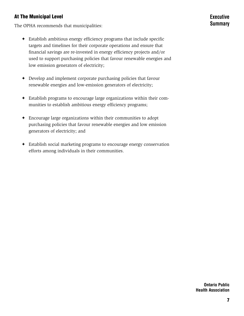# At The Municipal Level

The OPHA recommends that municipalities:

- ✦ Establish ambitious energy efficiency programs that include specific targets and timelines for their corporate operations and ensure that financial savings are re-invested in energy efficiency projects and/or used to support purchasing policies that favour renewable energies and low emission generators of electricity;
- ✦ Develop and implement corporate purchasing policies that favour renewable energies and low-emission generators of electricity;
- ✦ Establish programs to encourage large organizations within their communities to establish ambitious energy efficiency programs;
- ✦ Encourage large organizations within their communities to adopt purchasing policies that favour renewable energies and low emission generators of electricity; and
- ✦ Establish social marketing programs to encourage energy conservation efforts among individuals in their communities.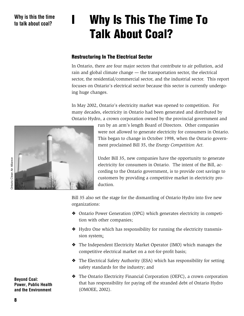# I Why Is This The Time To Talk About Coal?

# Restructuring In The Electrical Sector

In Ontario, there are four major sectors that contribute to air pollution, acid rain and global climate change — the transportation sector, the electrical sector, the residential/commercial sector, and the industrial sector. This report focuses on Ontario's electrical sector because this sector is currently undergoing huge changes.

In May 2002, Ontario's electricity market was opened to competition. For many decades, electricity in Ontario had been generated and distributed by Ontario Hydro, a crown corporation owned by the provincial government and

> run by an arm's length Board of Directors. Other companies were not allowed to generate electricity for consumers in Ontario. This began to change in October 1998, when the Ontario government proclaimed Bill 35, the *Energy Competition Act.*

Under Bill 35, new companies have the opportunity to generate electricity for consumers in Ontario. The intent of the Bill, according to the Ontario government, is to provide cost savings to customers by providing a competitive market in electricity production.

Bill 35 also set the stage for the dismantling of Ontario Hydro into five new organizations:

- ❖ Ontario Power Generation (OPG) which generates electricity in competition with other companies;
- ❖ Hydro One which has responsibility for running the electricity transmission system;
- ❖ The Independent Electricity Market Operator (IMO) which manages the competitive electrical market on a not-for-profit basis;
- ❖ The Electrical Safety Authority (ESA) which has responsibility for setting safety standards for the industry; and
- ❖ The Ontario Electricity Financial Corporation (OEFC), a crown corporation that has responsibility for paying off the stranded debt of Ontario Hydro (OMOEE, 2002).

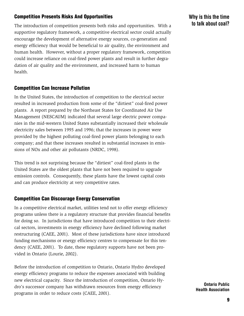# Competition Presents Risks And Opportunities

The introduction of competition presents both risks and opportunities. With a supportive regulatory framework, a competitive electrical sector could actually encourage the development of alternative energy sources, co-generation and energy efficiency that would be beneficial to air quality, the environment and human health. However, without a proper regulatory framework, competition could increase reliance on coal-fired power plants and result in further degradation of air quality and the environment, and increased harm to human health.

#### Competition Can Increase Pollution

In the United States, the introduction of competition to the electrical sector resulted in increased production from some of the "dirtiest" coal-fired power plants. A report prepared by the Northeast States for Coordinated Air Use Management (NESCAUM) indicated that several large electric power companies in the mid-western United States substantially increased their wholesale electricity sales between 1995 and 1996; that the increases in power were provided by the highest polluting coal-fired power plants belonging to each company; and that these increases resulted in substantial increases in emissions of NOx and other air pollutants (NRDC, 1998).

This trend is not surprising because the "dirtiest" coal-fired plants in the United States are the oldest plants that have not been required to upgrade emission controls. Consequently, these plants have the lowest capital costs and can produce electricity at very competitive rates.

# Competition Can Discourage Energy Conservation

In a competitive electrical market, utilities tend not to offer energy efficiency programs unless there is a regulatory structure that provides financial benefits for doing so. In jurisdictions that have introduced competition to their electrical sectors, investments in energy efficiency have declined following market restructuring (CAEE, 2001). Most of these jurisdictions have since introduced funding mechanisms or energy efficiency centres to compensate for this tendency (CAEE, 2001). To date, these regulatory supports have not been provided in Ontario (Lourie, 2002).

Before the introduction of competition to Ontario, Ontario Hydro developed energy efficiency programs to reduce the expenses associated with building new electrical capacity. Since the introduction of competition, Ontario Hydro's successor company has withdrawn resources from energy efficiency programs in order to reduce costs (CAEE, 2001).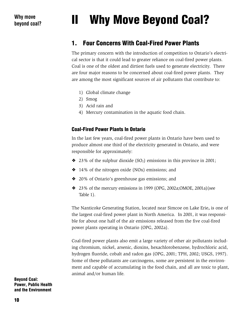# II Why Move Beyond Coal?

# 1. Four Concerns With Coal-Fired Power Plants

The primary concern with the introduction of competition to Ontario's electrical sector is that it could lead to greater reliance on coal-fired power plants. Coal is one of the oldest and dirtiest fuels used to generate electricity. There are four major reasons to be concerned about coal-fired power plants. They are among the most significant sources of air pollutants that contribute to:

- 1) Global climate change
- 2) Smog
- 3) Acid rain and
- 4) Mercury contamination in the aquatic food chain.

# Coal-Fired Power Plants In Ontario

In the last few years, coal-fired power plants in Ontario have been used to produce almost one third of the electricity generated in Ontario, and were responsible for approximately:

- $\triangleleft$  23% of the sulphur dioxide (SO<sub>2</sub>) emissions in this province in 2001;
- ❖ 14% of the nitrogen oxide (NOx) emissions; and
- ❖ 20% of Ontario's greenhouse gas emissions; and
- ❖ 23% of the mercury emissions in 1999 (OPG, 2002a;OMOE, 2001a)(see Table 1).

The Nanticoke Generating Station, located near Simcoe on Lake Erie**,** is one of the largest coal-fired power plant in North America. In 2001, it was responsible for about one half of the air emissions released from the five coal-fired power plants operating in Ontario (OPG, 2002a).

Coal-fired power plants also emit a large variety of other air pollutants including chromium, nickel, arsenic, dioxins, hexachlorobenzene, hydrochloric acid, hydrogen fluoride, cobalt and radon gas (OPG, 2001; TPH, 2002; USGS, 1997). Some of these pollutants are carcinogens, some are persistent in the environment and capable of accumulating in the food chain, and all are toxic to plant, animal and/or human life.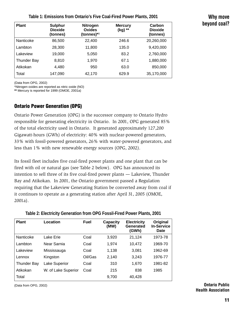#### **Table 1: Emissions from Ontario's Five Coal-Fired Power Plants, 2001**

|              | Why move |
|--------------|----------|
| beyond coal? |          |

| <b>Plant</b>       | <b>Sulphur</b><br><b>Dioxide</b><br>(tonnes) | <b>Nitrogen</b><br>Oxides<br>(tonnes)*1 | <b>Mercury</b><br>(kg) ** | Carbon<br><b>Dioxide</b><br>(tonnes) |
|--------------------|----------------------------------------------|-----------------------------------------|---------------------------|--------------------------------------|
| Nanticoke          | 86.500                                       | 22,400                                  | 246.6                     | 20,260,000                           |
| Lambton            | 28,300                                       | 11,800                                  | 135.0                     | 9,420,000                            |
| Lakeview           | 19,000                                       | 5,050                                   | 83.2                      | 2,760,000                            |
| <b>Thunder Bay</b> | 8,810                                        | 1.970                                   | 67.1                      | 1,880,000                            |
| Atikokan           | 4,480                                        | 950                                     | 63.0                      | 850,000                              |
| Total              | 147,090                                      | 42,170                                  | 629.9                     | 35,170,000                           |

(Data from OPG, 2002)

\*Nitrogen oxides are reported as nitric oxide (NO)

**\*\*** Mercury is reported for 1999 (OMOE, 2001a)

# Ontario Power Generation (OPG)

Ontario Power Generation (OPG) is the successor company to Ontario Hydro responsible for generating electricity in Ontario. In 2001, OPG generated 85% of the total electricity used in Ontario. It generated approximately 127,200 Gigawatt-hours (GWh) of electricity: 40% with nuclear-powered generators, 33% with fossil-powered generators, 26% with water-powered generators, and less than 1% with new renewable energy sources (OPG, 2002).

Its fossil fleet includes five coal-fired power plants and one plant that can be fired with oil or natural gas (see Table 2 below). OPG has announced its intention to sell three of its five coal-fired power plants — Lakeview, Thunder Bay and Atikokan. In 2001, the Ontario government passed a Regulation requiring that the Lakeview Generating Station be converted away from coal if it continues to operate as a generating station after April 31, 2005 (OMOE, 2001a).

| <b>Plant</b>       | Location            | <b>Fuel</b> | <b>Capacity</b><br>(MW) | <b>Electricity</b><br>Generated<br>(GWh) | Original<br><b>In-Service</b><br>Date |
|--------------------|---------------------|-------------|-------------------------|------------------------------------------|---------------------------------------|
| Nanticoke          | Lake Erie           | Coal        | 3,920                   | 21,124                                   | 1973-78                               |
| Lambton            | Near Sarnia         | Coal        | 1,974                   | 10,472                                   | 1969-70                               |
| Lakeview           | Mississauga         | Coal        | 1,138                   | 3,081                                    | 1962-69                               |
| Lennox             | Kingston            | Oil/Gas     | 2,140                   | 3,243                                    | 1976-77                               |
| <b>Thunder Bay</b> | Lake Superior       | Coal        | 310                     | 1,670                                    | 1981-82                               |
| Atikokan           | W. of Lake Superior | Coal        | 215                     | 838                                      | 1985                                  |
| Total              |                     |             | 9.700                   | 40,428                                   |                                       |

#### **Table 2: Electricity Generation from OPG Fossil-Fired Power Plants, 2001**

(Data from OPG, 2002)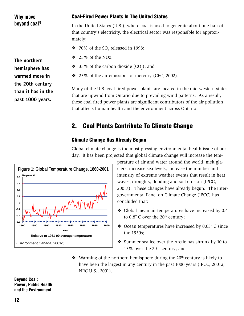| Why move                                                   | <b>Coal-Fired Power Plants In The United States</b>                                                                                                                                                                                                                                                              |  |  |  |
|------------------------------------------------------------|------------------------------------------------------------------------------------------------------------------------------------------------------------------------------------------------------------------------------------------------------------------------------------------------------------------|--|--|--|
| beyond coal?                                               | In the United States (U.S.), where coal is used to generate about one half of<br>that country's electricity, the electrical sector was responsible for approxi-<br>mately:                                                                                                                                       |  |  |  |
|                                                            | $\bullet$ 70% of the SO, released in 1998;                                                                                                                                                                                                                                                                       |  |  |  |
| The northern<br>hemisphere has                             | $\div$ 25% of the NOx;                                                                                                                                                                                                                                                                                           |  |  |  |
|                                                            | $\bullet$ 35% of the carbon dioxide (CO <sub>2</sub> ); and                                                                                                                                                                                                                                                      |  |  |  |
| warmed more in                                             | ❖ 25% of the air emissions of mercury (CEC, 2002).                                                                                                                                                                                                                                                               |  |  |  |
| the 20th century<br>than it has in the<br>past 1000 years. | Many of the U.S. coal-fired power plants are located in the mid-western states<br>that are upwind from Ontario due to prevailing wind patterns. As a result,<br>these coal-fired power plants are significant contributors of the air pollution<br>that affects human health and the environment across Ontario. |  |  |  |

# 2. Coal Plants Contribute To Climate Change

# Climate Change Has Already Begun

Global climate change is the most pressing environmental health issue of our day. It has been projected that global climate change will increase the tem-



perature of air and water around the world, melt glaciers, increase sea levels, increase the number and intensity of extreme weather events that result in heat waves, droughts, flooding and soil erosion (IPCC, 2001a). These changes have already begun. The Intergovernmental Panel on Climate Change (IPCC) has concluded that:

- ❖ Global mean air temperatures have increased by 0.4 to  $0.8^{\circ}$  C over the  $20^{\text{th}}$  century;
- $\triangleleft$  Ocean temperatures have increased by 0.05 $^{\circ}$  C since the 1950s;
- ❖ Summer sea ice over the Arctic has shrunk by 10 to 15% over the  $20<sup>th</sup>$  century; and
- ◆ Warming of the northern hemisphere during the 20<sup>th</sup> century is likely to have been the largest in any century in the past 1000 years (IPCC, 2001a; NRC U.S., 2001).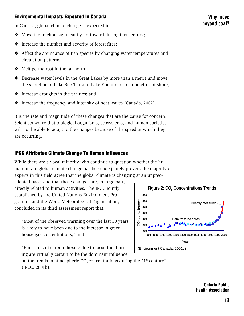# Environmental Impacts Expected In Canada

In Canada, global climate change is expected to:

- ❖ Move the treeline significantly northward during this century;
- ❖ Increase the number and severity of forest fires;
- ❖ Affect the abundance of fish species by changing water temperatures and circulation patterns;
- ❖ Melt permafrost in the far north;
- ❖ Decrease water levels in the Great Lakes by more than a metre and move the shoreline of Lake St. Clair and Lake Erie up to six kilometres offshore;
- ❖ Increase droughts in the prairies; and
- ❖ Increase the frequency and intensity of heat waves (Canada, 2002).

It is the rate and magnitude of these changes that are the cause for concern. Scientists worry that biological organisms, ecosystems, and human societies will not be able to adapt to the changes because of the speed at which they are occurring.

# IPCC Attributes Climate Change To Human Influences

While there are a vocal minority who continue to question whether the human link to global climate change has been adequately proven, the majority of experts in this field agree that the global climate is changing at an unprec-

edented pace, and that those changes are, in large part, directly related to human activities. The IPCC jointly established by the United Nations Environment Programme and the World Meteorological Organisation, concluded in its third assessment report that:

"Most of the observed warming over the last 50 years is likely to have been due to the increase in greenhouse gas concentrations;" and

"Emissions of carbon dioxide due to fossil fuel burning are virtually certain to be the dominant influence



on the trends in atmospheric  $CO$ , concentrations during the 21<sup>st</sup> century" (IPCC, 2001b).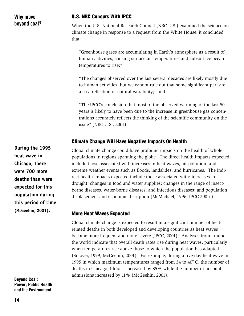# Why move beyond coal?

# U.S. NRC Concurs With IPCC

When the U.S. National Research Council (NRC U.S.) examined the science on climate change in response to a request from the White House, it concluded that:

"Greenhouse gases are accumulating in Earth's atmosphere as a result of human activities, causing surface air temperatures and subsurface ocean temperatures to rise;"

"The changes observed over the last several decades are likely mostly due to human activities, but we cannot rule out that some significant part are also a reflection of natural variability;" and

"The IPCC's conclusion that most of the observed warming of the last 50 years is likely to have been due to the increase in greenhouse gas concentrations accurately reflects the thinking of the scientific community on the issue" (NRC U.S., 2001).

# Climate Change Will Have Negative Impacts On Health

Global climate change could have profound impacts on the health of whole populations in regions spanning the globe. The direct health impacts expected include those associated with increases in heat waves, air pollution, and extreme weather events such as floods, landslides, and hurricanes. The indirect health impacts expected include those associated with: increases in drought; changes in food and water supplies; changes in the range of insectborne diseases, water-borne diseases, and infectious diseases; and population displacement and economic disruption (McMichael, 1996; IPCC 2001c).

# More Heat Waves Expected

Global climate change is expected to result in a significant number of heatrelated deaths in both developed and developing countries as heat waves become more frequent and more severe (IPCC, 2001). Analyses from around the world indicate that overall death rates rise during heat waves, particularly when temperatures rise above those to which the population has adapted (Smoyer, 1999; McGeehin, 2001). For example, during a five-day heat wave in 1995 in which maximum temperatures ranged from 34 to  $40^{\circ}$  C, the number of deaths in Chicago, Illinois, increased by 85% while the number of hospital admissions increased by 11% (McGeehin, 2001).

**During the 1995 heat wave in Chicago, there were 700 more deaths than were expected for this population during this period of time (McGeehin, 2001).**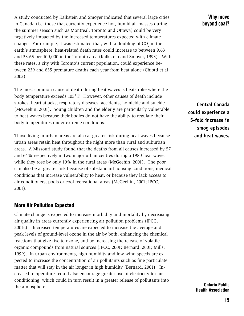A study conducted by Kalkstein and Smoyer indicated that several large cities in Canada (i.e. those that currently experience hot, humid air masses during the summer season such as Montreal, Toronto and Ottawa) could be very negatively impacted by the increased temperatures expected with climate change. For example, it was estimated that, with a doubling of  $\mathrm{CO}_2^{}$  in the earth's atmosphere, heat-related death rates could increase to between 9.63 and 33.65 per 100,000 in the Toronto area (Kalkstein and Smoyer, 1993). With these rates, a city with Toronto's current population, could experience between 239 and 835 premature deaths each year from heat alone (Chiotti et al, 2002).

The most common cause of death during heat waves is heatstroke where the body temperature exceeds 105° F. However, other causes of death include strokes, heart attacks, respiratory diseases, accidents, homicide and suicide (McGeehin, 2001). Young children and the elderly are particularly vulnerable to heat waves because their bodies do not have the ability to regulate their body temperatures under extreme conditions.

Those living in urban areas are also at greater risk during heat waves because urban areas retain heat throughout the night more than rural and suburban areas. A Missouri study found that the deaths from all causes increased by 57 and 64% respectively in two major urban centres during a 1980 heat wave, while they rose by only 10% in the rural areas (McGeehin, 2001). The poor can also be at greater risk because of substandard housing conditions, medical conditions that increase vulnerability to heat, or because they lack access to air conditioners, pools or cool recreational areas (McGeehin, 2001; IPCC, 2001).

#### More Air Pollution Expected

Climate change is expected to increase morbidity and mortality by decreasing air quality in areas currently experiencing air pollution problems (IPCC, 2001c). Increased temperatures are expected to increase the average and peak levels of ground-level ozone in the air by both, enhancing the chemical reactions that give rise to ozone, and by increasing the release of volatile organic compounds from natural sources (IPCC, 2001; Bernard, 2001; Mills, 1999). In urban environments, high humidity and low wind speeds are expected to increase the concentration of air pollutants such as fine particulate matter that will stay in the air longer in high humidity (Bernard, 2001). Increased temperatures could also encourage greater use of electricity for air conditioning, which could in turn result in a greater release of pollutants into the atmosphere.

Why move beyond coal?

**Central Canada could experience a 5-fold increase in smog episodes and heat waves.**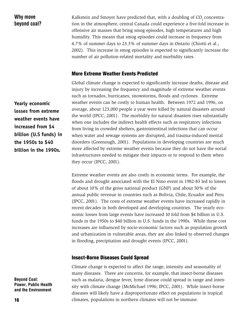# Why move beyond coal?

Kalkstein and Smoyer have predicted that, with a doubling of CO<sub>2</sub> concentration in the atmosphere, central Canada could experience a five-fold increase in offensive air masses that bring smog episodes, high temperatures and high humidity. This means that smog episodes could increase in frequency from 4.7% of summer days to 23.3% of summer days in Ontario (Chiotti et al., 2002). This increase in smog episodes is expected to significantly increase the number of air pollution-related mortality and morbidity rates.

#### More Extreme Weather Events Predicted

Global climate change is expected to significantly increase deaths, disease and injury by increasing the frequency and magnitude of extreme weather events such as tornados, hurricanes, snowstorms, floods and cyclones. Extreme weather events can be costly to human health. Between 1972 and 1996, on average, about 123,000 people a year were killed by natural disasters around the world (IPCC, 2001). The morbidity for natural disasters rises substantially when one includes the indirect health effects such as respiratory infections from living in crowded shelters, gastrointestinal infections that can occur when water and sewage systems are disrupted, and trauma-induced mental disorders (Greenough, 2001). Populations in developing countries are much more affected by extreme weather events because they do not have the social infrastructures needed to mitigate their impacts or to respond to them when they occur (IPCC, 2001).

Extreme weather events are also costly in economic terms. For example, the floods and drought associated with the El Nino event in 1982-83 led to losses of about 10% of the gross national product (GNP) and about 50% of the annual public revenue in countries such as Bolivia, Chile, Ecuador and Peru (IPCC, 2001). The costs of extreme weather events have increased rapidly in recent decades in both developed and developing countries. The yearly economic losses from large events have increased 10 fold from \$4 billion in U.S. funds in the 1950s to \$40 billion in U.S. funds in the 1990s. While these cost increases are influenced by socio-economic factors such as population growth and urbanization in vulnerable areas, they are also linked to observed changes in flooding, precipitation and drought events (IPCC, 2001).

#### Insect-Borne Diseases Could Spread

Climate change is expected to affect the range, intensity and seasonality of many diseases. There are concerns, for example, that insect-borne diseases such as malaria, dengue fever, lyme disease could spread in range and intensity with climate change (McMichael 1996; IPCC, 2001). While insect-borne diseases will likely have a disproportionate effect on populations in tropical climates, populations in northern climates will not be immune.

**Yearly economic losses from extreme weather events have increased from \$4 billion (U.S funds) in the 1950s to \$40 billion in the 1990s.**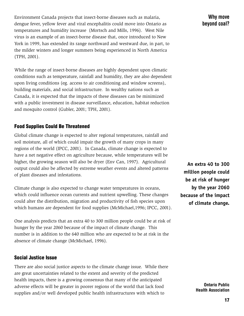Environment Canada projects that insect-borne diseases such as malaria, dengue fever, yellow fever and viral encephalitis could move into Ontario as temperatures and humidity increase (Mortsch and Mills, 1996). West Nile virus is an example of an insect-borne disease that, once introduced to New York in 1999, has extended its range northward and westward due, in part, to the milder winters and longer summers being experienced in North America (TPH, 2001).

While the range of insect-borne diseases are highly dependent upon climatic conditions such as temperature, rainfall and humidity, they are also dependent upon living conditions (eg. access to air conditioning and window screens), building materials, and social infrastructure. In wealthy nations such as Canada, it is expected that the impacts of these diseases can be minimized with a public investment in disease surveillance, education, habitat reduction and mosquito control (Gubler, 2001; TPH, 2001).

# Food Supplies Could Be Threatened

Global climate change is expected to alter regional temperatures, rainfall and soil moisture, all of which could impair the growth of many crops in many regions of the world (IPCC, 2001). In Canada, climate change is expected to have a net negative effect on agriculture because, while temperatures will be higher, the growing season will also be dryer (Env Can, 1997). Agricultural output could also be affected by extreme weather events and altered patterns of plant diseases and infestations.

Climate change is also expected to change water temperatures in oceans, which could influence ocean currents and nutrient upwelling. These changes could alter the distribution, migration and productivity of fish species upon which humans are dependent for food supplies (McMichael,1996; IPCC, 2001).

One analysis predicts that an extra 40 to 300 million people could be at risk of hunger by the year 2060 because of the impact of climate change. This number is in addition to the 640 million who are expected to be at risk in the absence of climate change (McMichael, 1996).

# Social Justice Issue

There are also social justice aspects to the climate change issue. While there are great uncertainties related to the extent and severity of the predicted health impacts, there is a growing consensus that many of the anticipated adverse effects will be greater in poorer regions of the world that lack food supplies and/or well developed public health infrastructures with which to

**An extra 40 to 300 million people could be at risk of hunger by the year 2060 because of the impact of climate change.**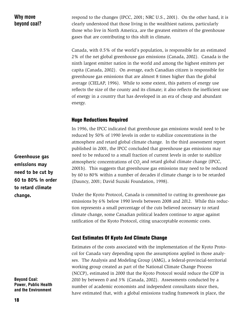# Why move beyond coal?

respond to the changes (IPCC, 2001; NRC U.S., 2001). On the other hand, it is clearly understood that those living in the wealthiest nations, particularly those who live in North America, are the greatest emitters of the greenhouse gases that are contributing to this shift in climate**.**

Canada, with 0.5% of the world's population, is responsible for an estimated 2% of the net global greenhouse gas emissions (Canada, 2002). Canada is the ninth largest emitter nation in the world and among the highest emitters per capita (Canada, 2002). On average, each Canadian citizen is responsible for greenhouse gas emissions that are almost 8 times higher than the global average (CIELAP, 1996). While to some extent, this pattern of energy use reflects the size of the county and its climate; it also reflects the inefficient use of energy in a country that has developed in an era of cheap and abundant energy.

# Huge Reductions Required

In 1996, the IPCC indicated that greenhouse gas emissions would need to be reduced by 50% of 1990 levels in order to stabilize concentrations in the atmosphere and retard global climate change. In the third assessment report published in 2001, the IPCC concluded that greenhouse gas emissions may need to be reduced to a small fraction of current levels in order to stabilize atmospheric concentrations of  $CO$ , and retard global climate change (IPCC, 2001b). This suggests that greenhouse gas emissions may need to be reduced by 60 to 80% within a number of decades if climate change is to be retarded (Dauncy, 2001; David Suzuki Foundation, 1998).

Under the Kyoto Protocol, Canada is committed to cutting its greenhouse gas emissions by 6% below 1990 levels between 2008 and 2012. While this reduction represents a small percentage of the cuts believed necessary to retard climate change, some Canadian political leaders continue to argue against ratification of the Kyoto Protocol, citing unacceptable economic costs.

# Cost Estimates Of Kyoto And Climate Change

Estimates of the costs associated with the implementation of the Kyoto Protocol for Canada vary depending upon the assumptions applied in those analyses. The Analysis and Modeling Group (AMG), a federal-provincial-territorial working group created as part of the National Climate Change Process (NCCP), estimated in 2000 that the Kyoto Protocol would reduce the GDP in 2010 by between 0 and 3% (Canada, 2002). Assessments conducted by a number of academic economists and independent consultants since then, have estimated that, with a global emissions trading framework in place, the

**Greenhouse gas emissions may need to be cut by 60 to 80% in order to retard climate change.**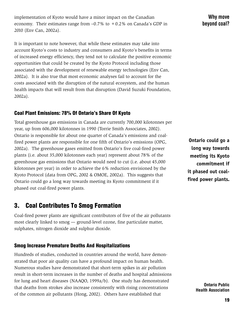implementation of Kyoto would have a minor impact on the Canadian economy. Their estimates range from  $-0.7\%$  to  $+0.2\%$  on Canada's GDP in 2010 (Env Can, 2002a).

It is important to note however, that while these estimates may take into account Kyoto's costs to industry and consumers and Kyoto's benefits in terms of increased energy efficiency, they tend not to calculate the positive economic opportunities that could be created by the Kyoto Protocol including those associated with the development of renewable energy technologies (Env Can, 2002a). It is also true that most economic analyses fail to account for the costs associated with the disruption of the natural ecosystem, and the human health impacts that will result from that disruption (David Suzuki Foundation, 2002a).

# Coal Plant Emissions: 78% Of Ontario's Share Of Kyoto

Total greenhouse gas emissions in Canada are currently 700,000 kilotonnes per year, up from 606,000 kilotonnes in 1990 (Torrie Smith Associates, 2002). Ontario is responsible for about one quarter of Canada's emissions and coalfired power plants are responsible for one fifth of Ontario's emissions (OPG, 2002a). The greenhouse gases emitted from Ontario's five coal-fired power plants (i.e. about 35,000 kilotonnes each year) represent about 78% of the greenhouse gas emissions that Ontario would need to cut (i.e. about 45,000 kilotonnes per year) in order to achieve the 6% reduction envisioned by the Kyoto Protocol (data from OPG, 2002 & OMOE, 2002a). This suggests that Ontario could go a long way towards meeting its Kyoto commitment if it phased out coal-fired power plants.

# 3. Coal Contributes To Smog Formation

Coal-fired power plants are significant contributors of five of the air pollutants most clearly linked to smog — ground-level ozone, fine particulate matter, sulphates, nitrogen dioxide and sulphur dioxide.

# Smog Increase Premature Deaths And Hospitalizations

Hundreds of studies, conducted in countries around the world, have demonstrated that poor air quality can have a profound impact on human health. Numerous studies have demonstrated that short-term spikes in air pollution result in short-term increases in the number of deaths and hospital admissions for lung and heart diseases (NAAQO, 1999a/b). One study has demonstrated that deaths from strokes also increase consistently with rising concentrations of the common air pollutants (Hong, 2002). Others have established that

**Ontario could go a long way towards meeting its Kyoto commitment if it phased out coalfired power plants.**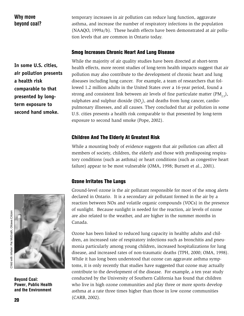# Why move beyond coal?

temporary increases in air pollution can reduce lung function, aggravate asthma, and increase the number of respiratory infections in the population (NAAQO, 1999a/b). These health effects have been demonstrated at air pollution levels that are common in Ontario today.

# Smog Increases Chronic Heart And Lung Disease

**In some U.S. cities, air pollution presents a health risk comparable to that presented by longterm exposure to second hand smoke.**

While the majority of air quality studies have been directed at short-term health effects, more recent studies of long-term health impacts suggest that air pollution may also contribute to the development of chronic heart and lung diseases including lung cancer. For example, a team of researchers that followed 1.2 million adults in the United States over a 16-year period, found a strong and consistent link between air levels of fine particulate matter  $(PM, \xi)$ , sulphates and sulphur dioxide  $(SO_2)$ , and deaths from lung cancer, cardiopulmonary illnesses, and all causes. They concluded that air pollution in some U.S. cities presents a health risk comparable to that presented by long-term exposure to second hand smoke (Pope, 2002).

# Children And The Elderly At Greatest Risk

While a mounting body of evidence suggests that air pollution can affect all members of society, children, the elderly and those with predisposing respiratory conditions (such as asthma) or heart conditions (such as congestive heart failure) appear to be most vulnerable (OMA, 1998; Burnett et al., 2001).

# Ozone Irritates The Lungs



Beyond Coal: Power, Public Health and the Environment

Ground-level ozone is the air pollutant responsible for most of the smog alerts declared in Ontario. It is a secondary air pollutant formed in the air by a reaction between NOx and volatile organic compounds (VOCs) in the presence of sunlight. Because sunlight is needed for the reaction, air levels of ozone are also related to the weather, and are higher in the summer months in Canada.

Ozone has been linked to reduced lung capacity in healthy adults and children, an increased rate of respiratory infections such as bronchitis and pneumonia particularly among young children, increased hospitalizations for lung disease, and increased rates of non-traumatic deaths (TPH, 2000; OMA, 1998). While it has long been understood that ozone can aggravate asthma symptoms, it is only recently that studies have suggested that ozone may actually contribute to the development of the disease. For example, a ten year study conducted by the University of Southern California has found that children who live in high ozone communities and play three or more sports develop asthma at a rate three times higher than those in low ozone communities (CARB, 2002).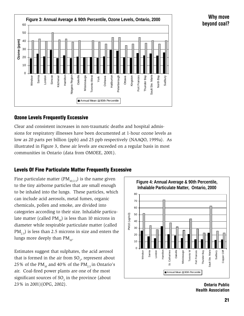

# Ozone Levels Frequently Excessive

Clear and consistent increases in non-traumatic deaths and hospital admissions for respiratory illnesses have been documented at 1-hour ozone levels as low as 20 parts per billion (ppb) and 25 ppb respectively (NAAQO, 1999a). As illustrated in Figure 3, these air levels are exceeded on a regular basis in most communities in Ontario (data from OMOEE, 2001).

# Levels Of Fine Particulate Matter Frequently Excessive

Fine particulate matter (PM<sub>10/2.5</sub>) is the name given to the tiny airborne particles that are small enough to be inhaled into the lungs. These particles, which can include acid aerosols, metal fumes, organic chemicals, pollen and smoke, are divided into categories according to their size. Inhalable particulate matter (called  $PM_{10}$ ) is less than 10 microns in diameter while respirable particulate matter (called  $PM$ <sub>2.5</sub>) is less than 2.5 microns in size and enters the lungs more deeply than  $PM_{10}$ .

Estimates suggest that sulphates, the acid aerosol that is formed in the air from  $SO_2$ , represent about 25% of the PM<sub>10</sub> and 40% of the PM<sub>25</sub> in Ontario's air. Coal-fired power plants are one of the most significant sources of  $SO_2$  in the province (about 23% in 2001)(OPG, 2002).



Ontario Public Health Association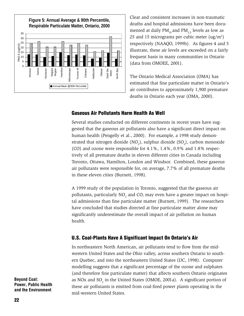

Clear and consistent increases in non-traumatic deaths and hospital admissions have been documented at daily  $PM_{10}$  and  $PM_{25}$  levels as low as 25 and 15 micrograms per cubic meter  $(ug/m<sup>3</sup>)$ respectively (NAAQO, 1999b). As figures 4 and 5 illustrate, these air levels are exceeded on a fairly frequent basis in many communities in Ontario (data from OMOEE, 2001).

The Ontario Medical Association (OMA) has estimated that fine particulate matter in Ontario's air contributes to approximately 1,900 premature deaths in Ontario each year (OMA, 2000).

#### Gaseous Air Pollutants Harm Health As Well

Several studies conducted on different continents in recent years have suggested that the gaseous air pollutants also have a significant direct impact on human health (Pengelly et al., 2000). For example, a 1998 study demonstrated that nitrogen dioxide (NO<sub>2</sub>), sulphur dioxide (SO<sub>2</sub>), carbon monoxide (CO) and ozone were responsible for 4.1%, 1.4%, 0.9% and 1.8% respectively of all premature deaths in eleven different cities in Canada including Toronto, Ottawa, Hamilton, London and Windsor. Combined, these gaseous air pollutants were responsible for, on average, 7.7% of all premature deaths in these eleven cities (Burnett, 1998).

A 1999 study of the population in Toronto, suggested that the gaseous air pollutants, particularly NO<sub>2</sub> and CO, may even have a greater impact on hospital admissions than fine particulate matter (Burnett, 1999). The researchers have concluded that studies directed at fine particulate matter alone may significantly underestimate the overall impact of air pollution on human health.

# U.S. Coal-Plants Have A Significant Impact On Ontario's Air

In northeastern North American, air pollutants tend to flow from the midwestern United States and the Ohio valley, across southern Ontario to southern Quebec, and into the northeastern United States (IJC, 1998). Computer modelling suggests that a significant percentage of the ozone and sulphates (and therefore fine particulate matter) that affects southern Ontario originates as NOx and SO<sub>2</sub> in the United States (OMOE, 2001a). A significant portion of these air pollutants is emitted from coal-fired power plants operating in the mid-western United States.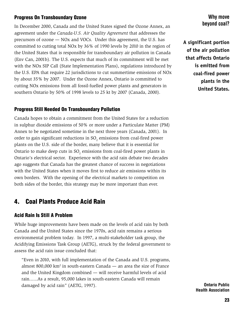# Progress On Transboundary Ozone

In December 2000, Canada and the United States signed the Ozone Annex, an agreement under the *Canada-U.S. Air Quality Agreement* that addresses the precursors of ozone — NOx and VOCs. Under this agreement, the U.S. has committed to cutting total NOx by 36% of 1990 levels by 2010 in the region of the United States that is responsible for transboundary air pollution in Canada (Env Can, 2001b). The U.S. expects that much of its commitment will be met with the NOx SIP Call (State Implementation Plans), regulations introduced by the U.S. EPA that require 22 jurisdictions to cut summertime emissions of NOx by about 35% by 2007. Under the Ozone Annex, Ontario is committed to cutting NOx emissions from all fossil-fuelled power plants and generators in southern Ontario by 50% of 1998 levels to 25 kt by 2007 (Canada, 2000).

# Progress Still Needed On Transboundary Pollution

Canada hopes to obtain a commitment from the United States for a reduction in sulphur dioxide emissions of 50% or more under a Particulate Matter (PM) Annex to be negotiated sometime in the next three years (Canada, 2001). In order to gain significant reductions in SO<sub>2</sub> emissions from coal-fired power plants on the U.S. side of the border, many believe that it is essential for Ontario to make deep cuts in  ${SO_2}$  emissions from coal-fired power plants in Ontario's electrical sector. Experience with the acid rain debate two decades ago suggests that Canada has the greatest chance of success in negotiations with the United States when it moves first to reduce air emissions within its own borders. With the opening of the electrical markets to competition on both sides of the border, this strategy may be more important than ever.

# 4. Coal Plants Produce Acid Rain

# Acid Rain Is Still A Problem

While huge improvements have been made on the levels of acid rain by both Canada and the United States since the 1970s, acid rain remains a serious environmental problem today. In 1997, a multi-stakeholder task group, the Acidifying Emissions Task Group (AETG), struck by the federal government to assess the acid rain issue concluded that:

"Even in 2010, with full implementation of the Canada and U.S. programs, almost 800,000  $km^2$  in south-eastern Canada  $-$  an area the size of France and the United Kingdom combined — will receive harmful levels of acid rain......As a result, 95,000 lakes in south-eastern Canada will remain damaged by acid rain" (AETG, 1997).

# Why move beyond coal?

**A significant portion of the air pollution that affects Ontario is emitted from coal-fired power plants in the United States.**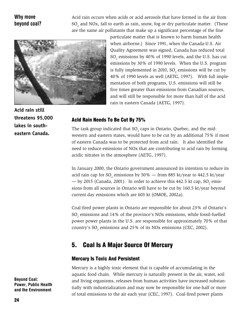# Why move beyond coal?

Acid rain occurs when acids or acid aerosols that have formed in the air from  $SO_2$  and NOx, fall to earth as rain, snow, fog or dry particulate matter. (These are the same air pollutants that make up a significant percentage of the fine



particulate matter that is known to harm human health when airborne.) Since 1991, when the Canada-U.S. Air Quality Agreement was signed, Canada has reduced total  $\mathrm{SO}_2$  emissions by 40% of 1990 levels, and the U.S. has cut emissions by 30% of 1990 levels. When the U.S. program is fully implemented in 2010, SO $_{\textrm{\tiny{2}}}$  emissions will be cut by 40% of 1990 levels as well (AETG, 1997). With full implementation of both programs, U.S. emissions will still be five times greater than emissions from Canadian sources, and will still be responsible for more than half of the acid rain in eastern Canada (AETG, 1997).

**Acid rain still threatens 95,000 lakes in southeastern Canada.**

# AcId Rain Needs To Be Cut By 75%

The task group indicated that SO<sub>2</sub> caps in Ontario, Quebec, and the midwestern and eastern states, would have to be cut by an additional 75% if most of eastern Canada was to be protected from acid rain. It also identified the need to reduce emissions of NOx that are contributing to acid rain by forming acidic nitrates in the atmosphere (AETG, 1997).

In January 2000, the Ontario government announced its intention to reduce its acid rain cap for SO<sub>2</sub> emissions by 50% — from 885 kt/year to 442.5 kt/year — by 2015 (Canada, 2001). In order to achieve this 442.5 kt cap,  $SO_2$  emissions from all sources in Ontario will have to be cut by 160.5 kt/year beyond current day emissions which are 603 kt (OMOE, 2002a).

Coal-fired power plants in Ontario are responsible for about 23% of Ontario's  $SO_2$  emissions and 14% of the province's NOx emissions, while fossil-fuelled power power plants in the U.S. are responsible for approximately 70% of that country's  $SO_2$  emissions and 25% of its NOx emissions (CEC, 2002).

# 5. Coal Is A Major Source Of Mercury

# Mercury Is Toxic And Persistent

Mercury is a highly toxic element that is capable of accumulating in the aquatic food chain. While mercury is naturally present in the air, water, soil and living organisms, releases from human activities have increased substantially with industrialization and may now be responsible for one-half or more of total emissions to the air each year (CEC, 1997). Coal-fired power plants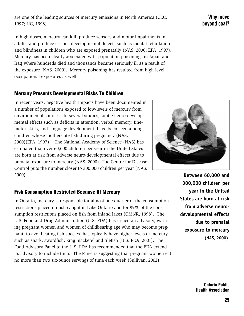are one of the leading sources of mercury emissions in North America (CEC, 1997; IJC, 1998).

In high doses, mercury can kill, produce sensory and motor impairments in adults, and produce serious developmental defects such as mental retardation and blindness in children who are exposed prenatally (NAS, 2000; EPA, 1997). Mercury has been clearly associated with population poisonings in Japan and Iraq where hundreds died and thousands became seriously ill as a result of the exposure (NAS, 2000). Mercury poisoning has resulted from high-level occupational exposures as well.

# Mercury Presents Developmental Risks To Children

In recent years, negative health impacts have been documented in a number of populations exposed to low-levels of mercury from environmental sources. In several studies, subtle neuro-developmental effects such as deficits in attention, verbal memory, finemotor skills, and language development, have been seen among children whose mothers ate fish during pregnancy (NAS, 2000)(EPA, 1997). The National Academy of Science (NAS) has estimated that over 60,000 children per year in the United States are born at risk from adverse neuro-developmental effects due to prenatal exposure to mercury (NAS, 2000). The Centre for Disease Control puts the number closer to 300,000 children per year (NAS, 2000).

# Fish Consumption Restricted Because Of Mercury

In Ontario, mercury is responsible for almost one quarter of the consumption restrictions placed on fish caught in Lake Ontario and for 99% of the consumption restrictions placed on fish from inland lakes (OMNR, 1998). The U.S. Food and Drug Administration (U.S. FDA) has issued an advisory, warning pregnant women and women of childbearing age who may become pregnant, to avoid eating fish species that typically have higher levels of mercury such as shark, swordfish, king mackerel and tilefish (U.S. FDA, 2001). The Food Advisory Panel to the U.S. FDA has recommended that the FDA extend its advisory to include tuna. The Panel is suggesting that pregnant women eat no more than two six-ounce servings of tuna each week (Sullivan, 2002).

**Between 60,000 and 300,000 children per year in the United States are born at risk from adverse neurodevelopmental effects due to prenatal exposure to mercury (NAS, 2000).**

# Why move beyond coal?

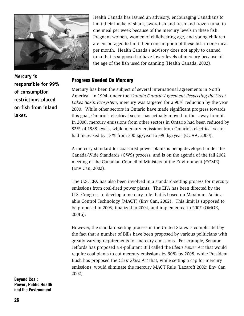

Health Canada has issued an advisory, encouraging Canadians to limit their intake of shark, swordfish and fresh and frozen tuna, to one meal per week because of the mercury levels in these fish. Pregnant women, women of childbearing age, and young children are encouraged to limit their consumption of these fish to one meal per month. Health Canada's advisory does not apply to canned tuna that is supposed to have lower levels of mercury because of the age of the fish used for canning (Health Canada, 2002).

#### Progress Needed On Mercury

Mercury has been the subject of several international agreements in North America. In 1994, under the *Canada-Ontario Agreement Respecting the Great Lakes Basin Ecosystem*, mercury was targeted for a 90% reduction by the year 2000. While other sectors in Ontario have made significant progress towards this goal, Ontario's electrical sector has actually moved further away from it. In 2000, mercury emissions from other sectors in Ontario had been reduced by 82% of 1988 levels, while mercury emissions from Ontario's electrical sector had increased by 18% from 500 kg/year to 590 kg/year (OCAA, 2000).

A mercury standard for coal-fired power plants is being developed under the Canada-Wide Standards (CWS) process, and is on the agenda of the fall 2002 meeting of the Canadian Council of Ministers of the Environment (CCME) (Env Can, 2002).

The U.S. EPA has also been involved in a standard-setting process for mercury emissions from coal-fired power plants. The EPA has been directed by the U.S. Congress to develop a mercury rule that is based on Maximum Achievable Control Technology (MACT) (Env Can, 2002). This limit is supposed to be proposed in 2003, finalized in 2004, and implemented in 2007 (OMOE, 2001a).

However, the standard-setting process in the United States is complicated by the fact that a number of Bills have been proposed by various politicians with greatly varying requirements for mercury emissions. For example, Senator Jeffords has proposed a 4-pollutant Bill called the *Clean Power Act* that would require coal plants to cut mercury emissions by 90% by 2008, while President Bush has proposed the *Clear Skies Act* that, while setting a cap for mercury emissions, would eliminate the mercury MACT Rule (Lazaroff 2002; Env Can 2002).

Beyond Coal: Power, Public Health and the Environment

**Mercury is responsible for 99% of consumption restrictions placed on fish from inland lakes.**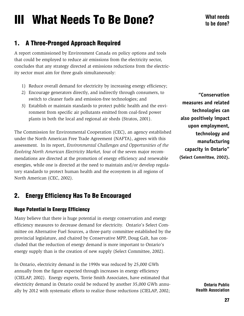# III What Needs To Be Done?

# 1. A Three-Pronged Approach Required

A report commissioned by Environment Canada on policy options and tools that could be employed to reduce air emissions from the electricity sector, concludes that any strategy directed at emissions reductions from the electricity sector must aim for three goals simultaneously:

- 1) Reduce overall demand for electricity by increasing energy efficiency;
- 2) Encourage generators directly, and indirectly through consumers, to switch to cleaner fuels and emission-free technologies; and
- 3) Establish or maintain standards to protect public health and the environment from specific air pollutants emitted from coal-fired power plants in both the local and regional air sheds (Stratos, 2001).

The Commission for Environmental Cooperation (CEC), an agency established under the North American Free Trade Agreement (NAFTA), agrees with this assessment. In its report, *Environmental Challenges and Opportunities of the Evolving North American Electricity Market,* four of the seven major recommendations are directed at the promotion of energy efficiency and renewable energies, while one is directed at the need to maintain and/or develop regulatory standards to protect human health and the ecosystem in all regions of North American (CEC, 2002).

# 2. Energy Efficiency Has To Be Encouraged

# Huge Potential In Energy Efficiency

Many believe that there is huge potential in energy conservation and energy efficiency measures to decrease demand for electricity. Ontario's Select Committee on Alternative Fuel Sources, a three-party committee established by the provincial legislature, and chaired by Conservative MPP, Doug Galt, has concluded that the reduction of energy demand is more important to Ontario's energy supply than is the creation of new supply (Select Committee, 2002).

In Ontario, electricity demand in the 1990s was reduced by 25,000 GWh annually from the figure expected through increases in energy efficiency (CIELAP, 2002). Energy experts, Torrie Smith Associates, have estimated that electricity demand in Ontario could be reduced by another 35,000 GWh annually by 2012 with systematic efforts to realize those reductions (CIELAP, 2002;

**"Conservation measures and related technologies can also positively impact upon employment, technology and manufacturing capacity in Ontario" (Select Committee, 2002).**

> Ontario Public Health Association

What needs to be done?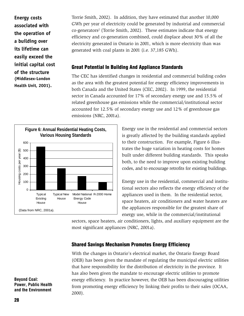**Energy costs** to be done? **associated with the operation of a building over its lifetime can easily exceed the initial capital cost of the structure (Middlesex-London Health Unit, 2001).**

Torrie Smith, 2002). In addition, they have estimated that another 10,000 GWh per year of electricity could be generated by industrial and commercial co-generators<sup>2</sup> (Torrie Smith, 2002). These estimates indicate that energy efficiency and co-generation combined, could displace about 30% of all the electricity generated in Ontario in 2001, which is more electricity than was generated with coal plants in 2001 (i.e. 37,185 GWh).

# Great Potential In Building And Appliance Standards

The CEC has identified changes in residential and commercial building codes as the area with the greatest potential for energy efficiency improvements in both Canada and the United States (CEC, 2002). In 1999, the residential sector in Canada accounted for 17% of secondary energy use and 15.5% of related greenhouse gas emissions while the commercial/institutional sector accounted for 12.5% of secondary energy use and 12% of greenhouse gas emissions (NRC, 2001a).



Energy use in the residential and commercial sectors is greatly affected by the building standards applied to their construction. For example, Figure 6 illustrates the huge variation in heating costs for homes built under different building standards. This speaks both, to the need to improve upon existing building codes, and to encourage retrofits for existing buildings.

Energy use in the residential, commercial and institutional sectors also reflects the energy efficiency of the appliances used in them. In the residential sector, space heaters, air conditioners and water heaters are the appliances responsible for the greatest share of energy use, while in the commercial/institutional

sectors, space heaters, air conditioners, lights, and auxiliary equipment are the most significant appliances (NRC, 2001a).

# Shared Savings Mechanism Promotes Energy Efficiency

With the changes in Ontario's electrical market, the Ontario Energy Board (OEB) has been given the mandate of regulating the municipal electric utilities that have responsibility for the distribution of electricity in the province. It has also been given the mandate to encourage electric utilities to promote energy efficiency. In practice however, the OEB has been discouraging utilities from promoting energy efficiency by linking their profits to their sales (OCAA, 2000).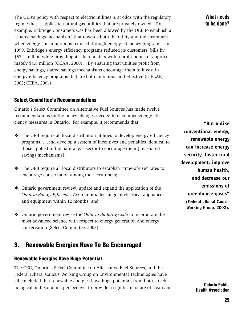The OEB's policy with respect to electric utilities is at odds with the regulatory regime that it applies to natural gas utilities that are privately owned. For example, Enbridge Consumers Gas has been allowed by the OEB to establish a "shared savings mechanism" that rewards both the utility and the customers when energy consumption is reduced through energy efficiency programs. In 1999, Enbridge's energy efficiency programs reduced its customers' bills by \$57.1 million while providing its shareholders with a profit bonus of approximately \$4.8 million (OCAA, 2000). By ensuring that utilities profit from energy savings, shared savings mechanisms encourage them to invest in energy efficiency programs that are both ambitious and effective (CIELAP, 2002; CEEA, 2001).

# **Select Committee's Recommendations**

Ontario's Select Committee on Alternative Fuel Sources has made twelve recommendations on the policy changes needed to encourage energy efficiency measures in Ontario. For example, it recommends that:

- ❖ The OEB require all local distribution utilities to develop energy efficiency programs......and develop a system of incentives and penalties identical to those applied to the natural gas sector to encourage them [i.e. shared savings mechanisms];
- ❖ The OEB require all local distributors to establish "time-of-use" rates to encourage conservation among their costumers;
- ❖ Ontario government review, update and expand the application of the *Ontario Energy Efficiency Act* to a broader range of electrical appliances and equipment within 12 months; and
- ❖ Ontario government revise the *Ontario Building Code* to incorporate the most advanced science with respect to energy generation and energy conservation (Select Committee, 2002).

# 3. Renewable Energies Have To Be Encouraged

#### Renewable Energies Have Huge Potential

The CEC, Ontario's Select Committee on Alternative Fuel Sources, and the Federal Liberal Caucus Working Group on Environmental Technologies have all concluded that renewable energies have huge potential, from both a technological and economic perspective, to provide a significant share of clean and What needs to be done?

**"But unlike conventional energy, renewable energy can increase energy security, foster rural development, improve human health, and decrease our emissions of greenhouse gases" (Federal Liberal Caucus Working Group, 2002).**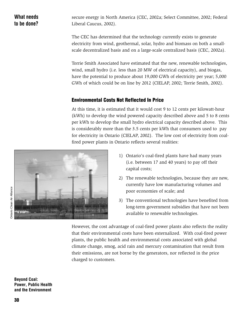secure energy in North America (CEC, 2002a; Select Committee, 2002; Federal Liberal Caucus, 2002).

The CEC has determined that the technology currently exists to generate electricity from wind, geothermal, solar, hydro and biomass on both a smallscale decentralized basis and on a large-scale centralized basis (CEC, 2002a).

Torrie Smith Associated have estimated that the new, renewable technologies, wind, small hydro (i.e. less than 20 MW of electrical capacity), and biogas, have the potential to produce about 19,000 GWh of electricity per year; 5,000 GWh of which could be on line by 2012 (CIELAP, 2002; Torrie Smith, 2002).

# Environmental Costs Not Reflected In Price

At this time, it is estimated that it would cost 9 to 12 cents per kilowatt-hour (kWh) to develop the wind powered capacity described above and 5 to 8 cents per kWh to develop the small hydro electrical capacity described above. This is considerably more than the 3.5 cents per kWh that consumers used to pay for electricity in Ontario (CIELAP, 2002). The low cost of electricity from coalfired power plants in Ontario reflects several realities:



- 1) Ontario's coal-fired plants have had many years (i.e. between 17 and 40 years) to pay off their capital costs;
- 2) The renewable technologies, because they are new, currently have low manufacturing volumes and poor economies of scale; and
- 3) The conventional technologies have benefited from long-term government subsidies that have not been available to renewable technologies.

However, the cost advantage of coal-fired power plants also reflects the reality that their environmental costs have been externalized. With coal-fired power plants, the public health and environmental costs associated with global climate change, smog, acid rain and mercury contamination that result from their emissions, are not borne by the generators, nor reflected in the price charged to customers.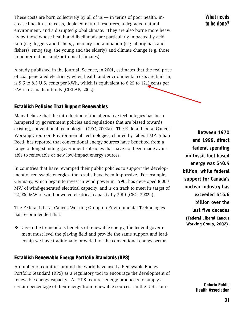These costs are born collectively by all of us  $-$  in terms of poor health, increased health care costs, depleted natural resources, a degraded natural environment, and a disrupted global climate. They are also borne more heavily by those whose health and livelihoods are particularly impacted by acid rain (e.g. loggers and fishers), mercury contamination (e.g. aboriginals and fishers), smog (e.g. the young and the elderly) and climate change (e.g. those in poorer nations and/or tropical climates).

A study published in the journal, Science, in 2001, estimates that the real price of coal generated electricity, when health and environmental costs are built in, is 5.5 to 8.3 U.S. cents per kWh, which is equivalent to 8.25 to 12.5 cents per kWh in Canadian funds (CIELAP, 2002).

# Establish Policies That Support Renewables

Many believe that the introduction of the alternative technologies has been hampered by government policies and regulations that are biased towards existing, conventional technologies (CEC, 2002a). The Federal Liberal Caucus Working Group on Environmental Technologies, chaired by Liberal MP, Julian Reed, has reported that conventional energy sources have benefited from a range of long-standing government subsidies that have not been made available to renewable or new low-impact energy sources.

In countries that have revamped their public policies to support the development of renewable energies, the results have been impressive. For example, Germany, which began to invest in wind power in 1990, has developed 8,000 MW of wind-generated electrical capacity, and is on track to meet its target of 22,000 MW of wind-powered electrical capacity by 2010 (CEC, 2002a).

The Federal Liberal Caucus Working Group on Environmental Technologies has recommended that:

❖ Given the tremendous benefits of renewable energy, the federal government must level the playing field and provide the same support and leadership we have traditionally provided for the conventional energy sector.

# Establish Renewable Energy Portfolio Standards (RPS)

A number of countries around the world have used a Renewable Energy Portfolio Standard (RPS) as a regulatory tool to encourage the development of renewable energy capacity. An RPS requires energy producers to supply a certain percentage of their energy from renewable sources. In the U.S., four-

What needs to be done?

**Between 1970 and 1999, direct federal spending on fossil fuel based energy was \$40.4 billion, while federal support for Canada's nuclear industry has exceeded \$16.6 billion over the last five decades (Federal Liberal Caucus Working Group, 2002).**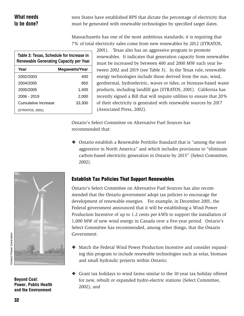# What needs to be done?

teen States have established RPS that dictate the percentage of electricity that must be generated with renewable technologies by specified target dates.

Massachusetts has one of the most ambitious standards; it is requiring that 7% of total electricity sales come from new renewables by 2012 (STRATOS,

| Table 3: Texas, Schedule for Increase in<br><b>Renewable Generating Capacity per Year</b> |                |  |  |
|-------------------------------------------------------------------------------------------|----------------|--|--|
| Year                                                                                      | Megawatts/Year |  |  |
| 2002/2003                                                                                 | 400            |  |  |
| 2004/2005                                                                                 | 850            |  |  |
| 2005/2005                                                                                 | 1.400          |  |  |
| 2006 - 2019                                                                               | 2,000          |  |  |
| Cumulative Increase                                                                       | 33,300         |  |  |
| (STRATOS, 2001)                                                                           |                |  |  |

2001). Texas also has an aggressive program to promote renewables. It indicates that generation capacity from renewables must be increased by between 400 and 2000 MW each year between 2002 and 2019 (see Table 3). In the Texas rule, renewable energy technologies include those derived from the sun, wind, geothermal, hydroelectric, waves or tides, or biomass-based waste products, including landfill gas (STRATOS, 2001). California has recently signed a Bill that will require utilities to ensure that 20% of their electricity is generated with renewable sources by 2017 (Associated Press, 2002).

Ontario's Select Committee on Alternative Fuel Sources has recommended that:

❖ Ontario establish a Renewable Portfolio Standard that is "among the most aggressive in North America" and which includes provisions to "eliminate carbon-based electricity generation in Ontario by 2015" (Select Committee, 2002).



Beyond Coal: Power, Public Health and the Environment

# Establish Tax Policies That Support Renewables

Ontario's Select Committee on Alternative Fuel Sources has also recommended that the Ontario government adopt tax policies to encourage the development of renewable energies. For example, in December 2001, the Federal government announced that it will be establishing a Wind Power Production Incentive of up to 1.2 cents per kWh to support the installation of 1,000 MW of new wind energy in Canada over a five-year period. Ontario's Select Committee has recommended, among other things, that the Ontario Government:

- ❖ Match the Federal Wind Power Production Incentive and consider expanding this program to include renewable technologies such as solar, biomass and small hydraulic projects within Ontario;
- ❖ Grant tax holidays to wind farms similar to the 10-year tax holiday offered for new, rebuilt or expanded hydro-electric stations (Select Committee, 2002); and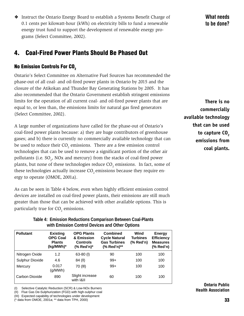❖ Instruct the Ontario Energy Board to establish a Systems Benefit Charge of 0.1 cents per kilowatt-hour (kWh) on electricity bills to fund a renewable energy trust fund to support the development of renewable energy programs (Select Committee, 2002).

# 4. Coal-Fired Power Plants Should Be Phased Out

# No Emission Controls For CO<sub>2</sub>

Ontario's Select Committee on Alternative Fuel Sources has recommended the phase-out of all coal- and oil-fired power plants in Ontario by 2015 and the closure of the Atikokan and Thunder Bay Generating Stations by 2005. It has also recommended that the Ontario Government establish stringent emissions limits for the operation of all current coal- and oil-fired power plants that are equal to, or less than, the emissions limits for natural gas fired generators (Select Committee, 2002).

A large number of organizations have called for the phase-out of Ontario's coal-fired power plants because: a) they are huge contributors of greenhouse gases; and b) there is currently no commercially available technology that can be used to reduce their  $\mathrm{CO}_2$  emissions. There are a few emission control technologies that can be used to remove a significant portion of the other air pollutants (i.e.  $SO_2$ , NOx and mercury) from the stacks of coal-fired power plants, but none of these technologies reduce  $\mathrm{CO}_2$  emissions. In fact, some of these technologies actually increase  $CO$ , emissions because they require energy to operate (OMOE, 2001a).

As can be seen in Table 4 below, even when highly efficient emission control devices are installed on coal-fired power plants, their emissions are still much greater than those that can be achieved with other available options. This is particularly true for  $CO_2$  emissions.

> **Table 4: Emission Reductions Comparison Between Coal-Plants with Emission Control Devices and Other Options**

Pollutant **Existing OPG Plants Combined** Wind Energy **Efficiency Measures (% Red'n) Wind Turbines (% Red'n) Combined Cycle Natural Gas Turbines (% Red'n)\*\* & Emission Controls (% Red'n)\* Existing OPG Coal Plants (kg/MWh)\*** Nitrogen Oxide Sulphur Dioxide **Mercury** 1.2 4.6 63-80 (l) 84 (ll) 70 (lll) 90 99+ 99+ 100 100 100 100 100 100 Carbon Dioxide 890 Slight increase with I&II 60 100 100 0.017 (g/MWh)

(I) Selective Catalytic Reduction (SCR) & Low-NOx Burners

(II) Flue Gas De-Sulphurization (FGD) with high-sulphur coal

(III) Expected capability of technologies under development

(\* data from OMOE, 2001a; \*\* data from TPH, 2000)

What needs to be done?

**There is no commercially available technology that can be used** to capture CO<sub>2</sub> **emissions from coal plants.**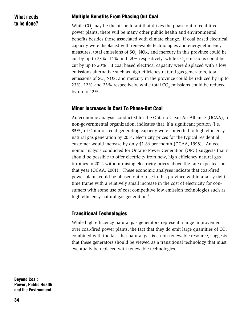What needs to be done?

#### Multiple Benefits From Phasing Out Coal

While CO<sub>2</sub> may be the air pollutant that drives the phase out of coal-fired power plants, there will be many other public health and environmental benefits besides those associated with climate change. If coal based electrical capacity were displaced with renewable technologies and energy efficiency measures, total emissions of  $SO<sub>2</sub>$  NOx, and mercury in this province could be cut by up to 23%, 14% and 23% respectively, while  $\mathrm{CO}_2$  emissions could be cut by up to 20%. If coal based electrical capacity were displaced with a low emissions alternative such as high efficiency natural gas generators, total emissions of  $SO<sub>2</sub>$  NOx, and mercury in the province could be reduced by up to 23%, 12% and 23% respectively, while total  $CO<sub>2</sub>$  emissions could be reduced by up to 12%.

#### Minor Increases In Cost To Phase-Out Coal

An economic analysis conducted for the Ontario Clean Air Alliance (OCAA), a non-governmental organization, indicates that, if a significant portion (i.e. 83%) of Ontario's coal-generating capacity were converted to high efficiency natural gas generation by 2014, electricity prices for the typical residential customer would increase by only \$1.86 per month (OCAA, 1998). An economic analysis conducted for Ontario Power Generation (OPG) suggests that it should be possible to offer electricity from new, high efficiency natural gas turbines in 2012 without raising electricity prices above the rate expected for that year (OCAA, 2001). These economic analyses indicate that coal-fired power plants could be phased out of use in this province within a fairly tight time frame with a relatively small increase in the cost of electricity for consumers with some use of cost competitive low emission technologies such as high efficiency natural gas generation.<sup>3</sup>

#### Transitional Technologies

While high efficiency natural gas generators represent a huge improvement over coal-fired power plants, the fact that they do emit large quantities of CO<sub>2</sub>, combined with the fact that natural gas is a non-renewable resource, suggests that these generators should be viewed as a transitional technology that must eventually be replaced with renewable technologies.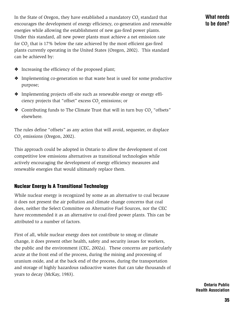In the State of Oregon, they have established a mandatory  $\mathrm{CO}_2^{}$  standard that encourages the development of energy efficiency, co-generation and renewable energies while allowing the establishment of new gas-fired power plants. Under this standard, all new power plants must achieve a net emission rate for  $CO_2$  that is 17% below the rate achieved by the most efficient gas-fired plants currently operating in the United States (Oregon, 2002). This standard can be achieved by:

- ❖ Increasing the efficiency of the proposed plant;
- ❖ Implementing co-generation so that waste heat is used for some productive purpose;
- ❖ Implementing projects off-site such as renewable energy or energy efficiency projects that "offset" excess  $\mathrm{CO}_2$  emissions; or
- $\bullet$  Contributing funds to The Climate Trust that will in turn buy  $\mathrm{CO}_2$  "offsets" elsewhere.

The rules define "offsets" as any action that will avoid, sequester, or displace  $CO<sub>2</sub>$  emissions (Oregon, 2002).

This approach could be adopted in Ontario to allow the development of cost competitive low emissions alternatives as transitional technologies while actively encouraging the development of energy efficiency measures and renewable energies that would ultimately replace them.

# Nuclear Energy Is A Transitional Technology

While nuclear energy is recognized by some as an alternative to coal because it does not present the air pollution and climate change concerns that coal does, neither the Select Committee on Alternative Fuel Sources, nor the CEC have recommended it as an alternative to coal-fired power plants. This can be attributed to a number of factors.

First of all, while nuclear energy does not contribute to smog or climate change, it does present other health, safety and security issues for workers, the public and the environment (CEC, 2002a). These concerns are particularly acute at the front end of the process, during the mining and processing of uranium oxide, and at the back end of the process, during the transportation and storage of highly hazardous radioactive wastes that can take thousands of years to decay (McKay, 1983).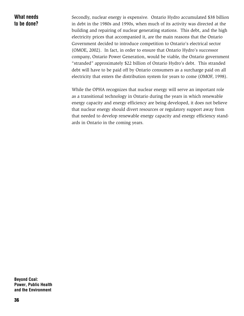What needs to be done? Secondly, nuclear energy is expensive. Ontario Hydro accumulated \$38 billion in debt in the 1980s and 1990s, when much of its activity was directed at the building and repairing of nuclear generating stations. This debt, and the high electricity prices that accompanied it, are the main reasons that the Ontario Government decided to introduce competition to Ontario's electrical sector (OMOE, 2002). In fact, in order to ensure that Ontario Hydro's successor company, Ontario Power Generation, would be viable, the Ontario government "stranded" approximately \$22 billion of Ontario Hydro's debt. This stranded debt will have to be paid off by Ontario consumers as a surcharge paid on all electricity that enters the distribution system for years to come (OMOF, 1998).

While the OPHA recognizes that nuclear energy will serve an important role as a transitional technology in Ontario during the years in which renewable energy capacity and energy efficiency are being developed, it does not believe that nuclear energy should divert resources or regulatory support away from that needed to develop renewable energy capacity and energy efficiency standards in Ontario in the coming years.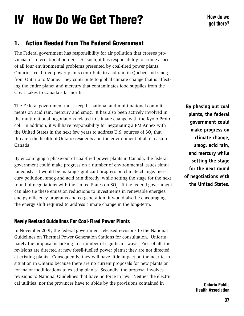# IV How Do We Get There?

# 1. Action Needed From The Federal Government

The Federal government has responsibility for air pollution that crosses provincial or international borders. As such, it has responsibility for some aspect of all four environmental problems presented by coal-fired power plants. Ontario's coal-fired power plants contribute to acid rain in Quebec and smog from Ontario to Maine. They contribute to global climate change that is affecting the entire planet and mercury that contaminates food supplies from the Great Lakes to Canada's far north.

The Federal government must keep bi-national and multi-national commitments on acid rain, mercury and smog. It has also been actively involved in the multi-national negotiations related to climate change with the Kyoto Protocol. In addition, it will have responsibility for negotiating a PM Annex with the United States in the next few years to address U.S. sources of  $\mathrm{SO}_2^{}$  that threaten the health of Ontario residents and the environment of all of eastern Canada.

By encouraging a phase-out of coal-fired power plants in Canada, the federal government could make progress on a number of environmental issues simultaneously. It would be making significant progress on climate change, mercury pollution, smog and acid rain directly, while setting the stage for the next round of negotiations with the United States on  ${SO_2}$ . If the federal government can also tie these emission reductions to investments in renewable energies, energy efficiency programs and co-generation, it would also be encouraging the energy shift required to address climate change in the long-term.

# Newly Revised Guidelines For Coal-Fired Power Plants

In November 2001, the federal government released revisions to the National Guidelines on Thermal Power Generation Stations for consultation. Unfortunately the proposal is lacking in a number of significant ways. First of all, the revisions are directed at new fossil-fuelled power plants; they are not directed at existing plants. Consequently, they will have little impact on the near-term situation in Ontario because there are no current proposals for new plants or for major modifications to existing plants. Secondly, the proposal involves revisions to National Guidelines that have no force in law. Neither the electrical utilities, nor the provinces have to abide by the provisions contained in

**By phasing out coal plants, the federal government could make progress on climate change, smog, acid rain, and mercury while setting the stage for the next round of negotiations with the United States.**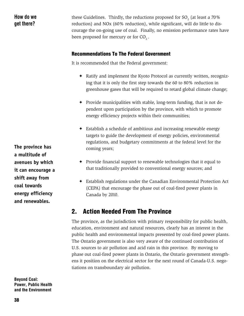# How do we get there?

these Guidelines. Thirdly, the reductions proposed for SO<sub>2</sub> (at least a 70%) reduction) and NOx (60% reduction), while significant, will do little to discourage the on-going use of coal. Finally, no emission performance rates have been proposed for mercury or for  $CO<sub>2</sub>$ .

# Recommendations To The Federal Government

It is recommended that the Federal government:

- ✦ Ratify and implement the Kyoto Protocol as currently written, recognizing that it is only the first step towards the 60 to 80% reduction in greenhouse gases that will be required to retard global climate change;
- ✦ Provide municipalities with stable, long-term funding, that is not dependent upon participation by the province, with which to promote energy efficiency projects within their communities;
- ✦ Establish a schedule of ambitious and increasing renewable energy targets to guide the development of energy policies, environmental regulations, and budgetary commitments at the federal level for the coming years;
- ✦ Provide financial support to renewable technologies that it equal to that traditionally provided to conventional energy sources; and
- ✦ Establish regulations under the Canadian Environmental Protection Act (CEPA) that encourage the phase out of coal-fired power plants in Canada by 2010.

# 2. Action Needed From The Province

The province, as the jurisdiction with primary responsibility for public health, education, environment and natural resources, clearly has an interest in the public health and environmental impacts presented by coal-fired power plants. The Ontario government is also very aware of the continued contribution of U.S. sources to air pollution and acid rain in this province. By moving to phase out coal-fired power plants in Ontario, the Ontario government strengthens it position on the electrical sector for the next round of Canada-U.S. negotiations on transboundary air pollution.

**The province has a multitude of avenues by which it can encourage a shift away from coal towards energy efficiency and renewables.**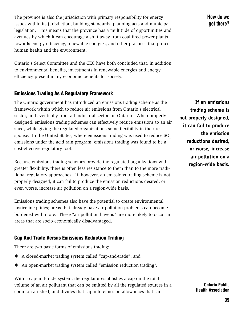The province is also the jurisdiction with primary responsibility for energy issues within its jurisdiction, building standards, planning acts and municipal legislation. This means that the province has a multitude of opportunities and avenues by which it can encourage a shift away from coal-fired power plants towards energy efficiency, renewable energies, and other practices that protect human health and the environment.

Ontario's Select Committee and the CEC have both concluded that, in addition to environmental benefits, investments in renewable energies and energy efficiency present many economic benefits for society.

# Emissions Trading As A Regulatory Framework

The Ontario government has introduced an emissions trading scheme as the framework within which to reduce air emissions from Ontario's electrical sector, and eventually from all industrial sectors in Ontario. When properly designed, emissions trading schemes can effectively reduce emissions to an air shed, while giving the regulated organizations some flexibility in their response. In the United States, where emissions trading was used to reduce SO<sub>2</sub> emissions under the acid rain program, emissions trading was found to be a cost-effective regulatory tool.

Because emissions trading schemes provide the regulated organizations with greater flexibility, there is often less resistance to them than to the more traditional regulatory approaches. If, however, an emissions trading scheme is not properly designed, it can fail to produce the emission reductions desired, or even worse, increase air pollution on a region-wide basis.

Emissions trading schemes also have the potential to create environmental justice inequities; areas that already have air pollution problems can become burdened with more. These "air pollution havens" are more likely to occur in areas that are socio-economically disadvantaged.

# Cap And Trade Versus Emissions Reduction Trading

There are two basic forms of emissions trading:

- ❖ A closed-market trading system called "cap-and-trade"; and
- ❖ An open-market trading system called "emission reduction trading".

With a cap-and-trade system, the regulator establishes a cap on the total volume of an air pollutant that can be emitted by all the regulated sources in a common air shed, and divides that cap into emission allowances that can

How do we get there?

**If an emissions trading scheme is not properly designed, it can fail to produce the emission reductions desired, or worse, increase air pollution on a region-wide basis.**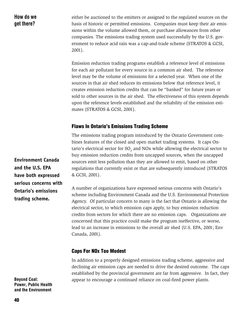How do we get there?

either be auctioned to the emitters or assigned to the regulated sources on the basis of historic or permitted emissions. Companies must keep their air emissions within the volume allowed them, or purchase allowances from other companies. The emissions trading system used successfully by the U.S. government to reduce acid rain was a cap-and-trade scheme (STRATOS & GCSI, 2001).

Emission reduction trading programs establish a reference level of emissions for each air pollutant for every source in a common air shed. The reference level may be the volume of emissions for a selected year. When one of the sources in that air shed reduces its emissions below that reference level, it creates emission reduction credits that can be "banked" for future years or sold to other sources in the air shed. The effectiveness of this system depends upon the reference levels established and the reliability of the emission estimates (STRATOS & GCSI, 2001).

#### **Flaws In Ontario's Emissions Trading Scheme**

The emissions trading program introduced by the Ontario Government combines features of the closed and open market trading systems. It caps Ontario's electrical sector for SO<sub>2</sub> and NOx while allowing the electrical sector to buy emission reduction credits from uncapped sources, when the uncapped sources emit less pollution than they are allowed to emit, based on other regulations that currently exist or that are subsequently introduced (STRATOS & GCSI, 2001).

A number of organizations have expressed serious concerns with Ontario's scheme including Environment Canada and the U.S. Environmental Protection Agency. Of particular concern to many is the fact that Ontario is allowing the electrical sector, to which emission caps apply, to buy emission reduction credits from sectors for which there are no emission caps. Organizations are concerned that this practice could make the program ineffective, or worse, lead to an increase in emissions to the overall air shed (U.S. EPA, 2001; Env Canada, 2001).

#### Caps For NOx Too Modest

In addition to a properly designed emissions trading scheme, aggressive and declining air emission caps are needed to drive the desired outcome. The caps established by the provincial government are far from aggressive. In fact, they appear to encourage a continued reliance on coal-fired power plants.

**Environment Canada and the U.S. EPA have both expressed serious concerns with Ontario's emissions trading scheme.**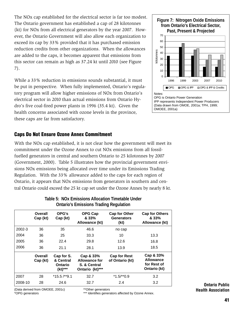The NOx cap established for the electrical sector is far too modest. The Ontario government has established a cap of 28 kilotonnes (kt) for NOx from all electrical generators by the year 2007. However, the Ontario Government will also allow each organization to exceed its cap by 33% provided that it has purchased emission reduction credits from other organizations. When the allowances are added to the caps, it becomes apparent that emissions from this sector can remain as high as 37.24 kt until 2010 (see Figure 7).

While a 33% reduction in emissions sounds substantial, it must be put in perspective. When fully implemented, Ontario's regulatory program will allow higher emissions of NOx from Ontario's electrical sector in 2010 than actual emissions from Ontario Hydro's five coal-fired power plants in 1996 (35.4 kt). Given the health concerns associated with ozone levels in the province, these caps are far from satisfactory.

# Caps Do Not Ensure Ozone Annex Commitment

With the NOx cap established, it is not clear how the government will meet its commitment under the Ozone Annex to cut NOx emissions from all fossilfuelled generators in central and southern Ontario to 25 kilotonnes by 2007 (Government, 2000). Table 5 illustrates how the provincial government envisions NOx emissions being allocated over time under its Emissions Trading Regulation. With the 33% allowance added to the caps for each region of Ontario, it appears that NOx emissions from generators in southern and central Ontario could exceed the 25 kt cap set under the Ozone Annex by nearly 8 kt.

| Overall<br>Cap (kt) | OPG's<br>Cap (kt)                             | OPG Cap<br>& 33%<br>Allowance (kt)                                   | Cap for Other<br><b>Generators</b><br>(kt) | <b>Cap for Others</b><br>& 33%<br>Allowance (kt)             |
|---------------------|-----------------------------------------------|----------------------------------------------------------------------|--------------------------------------------|--------------------------------------------------------------|
| 36                  | 35                                            | 46.6                                                                 | no cap                                     |                                                              |
| 36                  | 25                                            | 33.3                                                                 | 10                                         | 13.3                                                         |
| 36                  | 22.4                                          | 29.8                                                                 | 12.6                                       | 16.8                                                         |
| 36                  | 21.1                                          | 28.1                                                                 | 13.9                                       | 18.5                                                         |
| Overall<br>Cap (kt) | Cap for S.<br>& Central<br>Ontario<br>(kt)*** | Cap & 33%<br><b>Allowance for</b><br>S. & Central<br>Ontario (kt)*** | <b>Cap for Rest</b><br>of Ontario (kt)     | Cap & 33%<br><b>Allowance</b><br>for Rest of<br>Ontario (kt) |
| 28                  | $*15.5$ /**9.1                                | 32.7                                                                 | $*1.5$ /**0.9                              | 3.2                                                          |
| 28                  | 24.6                                          | 32.7                                                                 | 2.4                                        | 3.2                                                          |
|                     |                                               |                                                                      |                                            |                                                              |

#### **Table 5: NOx Emissions Allocation Timetable Under Ontario's Emissions Trading Regulation**

(Data derived from OMOEE, 2001c) \*OPG generators

\*\*Other generators

\*\*\* Identifies generators affected by Ozone Annex.



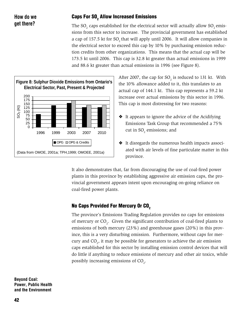# How do we get there?

# Caps For SO $_{\textrm{\tiny{2}}}$  Allow Increased Emissions

The SO<sub>2</sub> caps established for the electrical sector will actually allow SO<sub>2</sub> emissions from this sector to increase. The provincial government has established a cap of 157.5 kt for SO<sub>2</sub> that will apply until 2006. It will allow companies in the electrical sector to exceed this cap by 10% by purchasing emission reduction credits from other organizations. This means that the actual cap will be 173.5 kt until 2006. This cap is 32.8 kt greater than actual emissions in 1999 and 88.6 kt greater than actual emissions in 1996 (see Figure 8).



After 2007, the cap for  $SO_2$  is reduced to 131 kt. With the 10% allowance added to it, this translates to an actual cap of 144.1 kt. This cap represents a 59.2 kt increase over actual emissions by this sector in 1996. This cap is most distressing for two reasons:

- ❖ It appears to ignore the advice of the Acidifying Emissions Task Group that recommended a 75% cut in SO $_{2}$  emissions; and
- ❖ It disregards the numerous health impacts associated with air levels of fine particulate matter in this province.

It also demonstrates that, far from discouraging the use of coal-fired power plants in this province by establishing aggressive air emission caps, the provincial government appears intent upon encouraging on-going reliance on coal-fired power plants.

# No Caps Provided For Mercury Or CO<sub>2</sub>

The province's Emissions Trading Regulation provides no caps for emissions of mercury or  $CO_2$ . Given the significant contribution of coal-fired plants to emissions of both mercury (23%) and greenhouse gases (20%) in this province, this is a very disturbing omission. Furthermore, without caps for mercury and  $CO_{_2}$ , it may be possible for generators to achieve the air emission caps established for this sector by installing emission control devices that will do little if anything to reduce emissions of mercury and other air toxics, while possibly increasing emissions of  $CO<sub>2</sub>$ .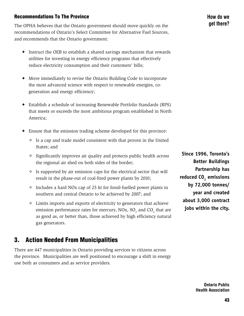# Recommendations To The Province

The OPHA believes that the Ontario government should move quickly on the recommendations of Ontario's Select Committee for Alternative Fuel Sources, and recommends that the Ontario government:

- ✦ Instruct the OEB to establish a shared savings mechanism that rewards utilities for investing in energy efficiency programs that effectively reduce electricity consumption and their customers' bills;
- ✦ Move immediately to revise the Ontario Building Code to incorporate the most advanced science with respect to renewable energies, cogeneration and energy efficiency;
- ✦ Establish a schedule of increasing Renewable Portfolio Standards (RPS) that meets or exceeds the most ambitious program established in North America;
- ✦ Ensure that the emission trading scheme developed for this province:
	- $\diamond$  Is a cap and trade model consistent with that proven in the United States; and
	- $\diamond$  Significantly improves air quality and protects public health across the regional air shed on both sides of the border;
	- $\diamond$  Is supported by air emission caps for the electrical sector that will result in the phase-out of coal-fired power plants by 2010;
	- $\diamond$  Includes a hard NOx cap of 25 kt for fossil-fuelled power plants in southern and central Ontario to be achieved by 2007; and
	- $\Diamond$  Limits imports and exports of electricity to generators that achieve emission performance rates for mercury, NOx,  $SO_2$  and  $CO_2$  that are as good as, or better than, those achieved by high efficiency natural gas generators.

# 3. Action Needed From Municipalities

There are 447 municipalities in Ontario providing services to citizens across the province. Municipalities are well positioned to encourage a shift in energy use both as consumers and as service providers.

**Since 1996, Toronto's Better Buildings Partnership has** reduced CO<sub>2</sub> emissions **by 72,000 tonnes/ year and created about 3,000 contract jobs within the city.**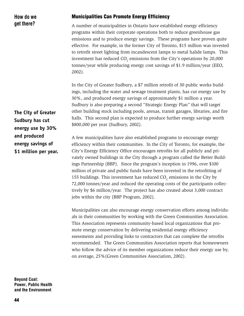# How do we get there?

#### Municipalities Can Promote Energy Efficiency

A number of municipalities in Ontario have established energy efficiency programs within their corporate operations both to reduce greenhouse gas emissions and to produce energy savings. These programs have proven quite effective. For example, in the former City of Toronto, \$15 million was invested to retrofit street lighting from incandescent lamps to metal halide lamps. This investment has reduced CO<sub>2</sub> emissions from the City's operations by 20,000 tonnes/year while producing energy cost savings of \$1.9 million/year (EEO, 2002).

In the City of Greater Sudbury, a \$7 million retrofit of 30 public works buildings, including the water and sewage treatment plants, has cut energy use by 30%, and produced energy savings of approximately \$1 million a year. Sudbury is also preparing a second "Strategic Energy Plan" that will target other building stock including pools, arenas, transit garages, libraries, and fire halls. This second plan is expected to produce further energy savings worth \$800,000 per year (Sudbury, 2002).

A few municipalities have also established programs to encourage energy efficiency within their communities. In the City of Toronto, for example, the City's Energy Efficiency Office encourages retrofits for all publicly and privately owned buildings in the City through a program called the Better Buildings Partnership (BBP). Since the program's inception in 1996, over \$100 million of private and public funds have been invested in the retrofitting of 155 buildings. This investment has reduced  $CO_2$  emissions in the City by 72,000 tonnes/year and reduced the operating costs of the participants collectively by \$6 million/year. The project has also created about 3,000 contract jobs within the city (BBP Program, 2002).

Municipalities can also encourage energy conservation efforts among individuals in their communities by working with the Green Communities Association. This Association represents community-based local organizations that promote energy conservation by delivering residential energy efficiency ssessments and providing links to contractors that can complete the retrofits recommended. The Green Communities Association reports that homeowners who follow the advice of its member organizations reduce their energy use by, on average, 25%(Green Communities Association, 2002).

Beyond Coal: Power, Public Health and the Environment

**The City of Greater Sudbury has cut energy use by 30% and produced energy savings of \$1 million per year.**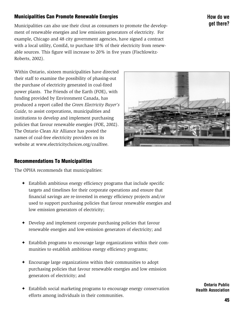# Municipalities Can Promote Renewable Energies

Municipalities can also use their clout as consumers to promote the development of renewable energies and low emission generators of electricity. For example, Chicago and 48 city government agencies, have signed a contract with a local utility, ComEd, to purchase 10% of their electricity from renewable sources. This figure will increase to 20% in five years (Fischlowitz-Roberts, 2002).

Within Ontario, sixteen municipalities have directed their staff to examine the possibility of phasing-out the purchase of electricity generated in coal-fired power plants. The Friends of the Earth (FOE), with funding provided by Environment Canada, has produced a report called the *Green Electricity Buyer's Guide,* to assist corporations, municipalities and institutions to develop and implement purchasing policies that favour renewable energies (FOE, 2002). The Ontario Clean Air Alliance has posted the names of coal-free electricity providers on its website at www.electricitychoices.org/coalfree.

# Recommendations To Municipalities

The OPHA recommends that municipalities:

- ✦ Establish ambitious energy efficiency programs that include specific targets and timelines for their corporate operations and ensure that financial savings are re-invested in energy efficiency projects and/or used to support purchasing policies that favour renewable energies and low emission generators of electricity;
- ✦ Develop and implement corporate purchasing policies that favour renewable energies and low-emission generators of electricity; and
- ✦ Establish programs to encourage large organizations within their communities to establish ambitious energy efficiency programs;
- ✦ Encourage large organizations within their communities to adopt purchasing policies that favour renewable energies and low emission generators of electricity; and
- ✦ Establish social marketing programs to encourage energy conservation efforts among individuals in their communities.

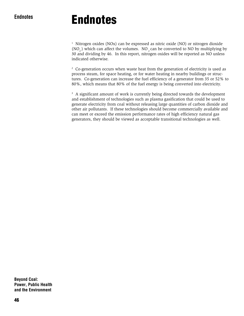# Endnotes

1 Nitrogen oxides (NOx) can be expressed as nitric oxide (NO) or nitrogen dioxide (NO<sub>2</sub>) which can affect the volumes. NO<sub>2</sub> can be converted to NO by multiplying by 30 and dividing by 46. In this report, nitrogen oxides will be reported as NO unless indicated otherwise.

2 Co-generation occurs when waste heat from the generation of electricity is used as process steam, for space heating, or for water heating in nearby buildings or structures. Co-generation can increase the fuel efficiency of a generator from 35 or 52% to 80%, which means that 80% of the fuel energy is being converted into electricity.

3 A significant amount of work is currently being directed towards the development and establishment of technologies such as plasma gasification that could be used to generate electricity from coal without releasing large quantities of carbon dioxide and other air pollutants. If these technologies should become commercially available and can meet or exceed the emission performance rates of high efficiency natural gas generators, they should be viewed as acceptable transitional technologies as well.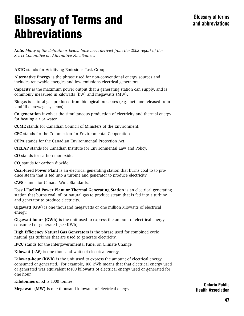# Glossary of Terms and **Abbreviations**

*Note: Many of the definitions below have been derived from the 2002 report of the Select Committee on Alternative Fuel Sources*

**AETG** stands for Acidifying Emissions Task Group.

**Alternative Energy** is the phrase used for non-conventional energy sources and includes renewable energies and low emissions electrical generators.

**Capacity** is the maximum power output that a generating station can supply, and is commonly measured in kilowatts (kW) and megawatts (MW).

**Biogas** is natural gas produced from biological processes (e.g. methane released from landfill or sewage systems).

**Co-generation** involves the simultaneous production of electricity and thermal energy for heating air or water.

**CCME** stands for Canadian Council of Ministers of the Environment.

**CEC** stands for the Commission for Environmental Cooperation.

**CEPA** stands for the Canadian Environmental Protection Act.

**CIELAP** stands for Canadian Institute for Environmental Law and Policy.

**CO** stands for carbon monoxide.

**CO**, stands for carbon dioxide.

**Coal-Fired Power Plant** is an electrical generating station that burns coal to to produce steam that is fed into a turbine and generator to produce electricity.

**CWS** stands for Canada-Wide Standards.

**Fossil-Fuelled Power Plant or Thermal Generating Station** is an electrical generating station that burns coal, oil or natural gas to produce steam that is fed into a turbine and generator to produce electricity.

**Gigawatt (GW)** is one thousand megawatts or one million kilowatts of electrical energy.

**Gigawatt-hours (GWh)** is the unit used to express the amount of electrical energy consumed or generated (see KWh).

**High Efficiency Natural Gas Generators** is the phrase used for combined cycle natural gas turbines that are used to generate electricity.

**IPCC** stands for the Intergovernmental Panel on Climate Change.

**Kilowatt (kW)** is one thousand watts of electrical energy.

**Kilowatt-hour (kWh)** is the unit used to express the amount of electrical energy consumed or generated. For example, 100 kWh means that that electrical energy used or generated was equivalent to100 kilowatts of electrical energy used or generated for one hour.

**Kilotonnes or kt** is 1000 tonnes.

**Megawatt (MW)** is one thousand kilowatts of electrical energy.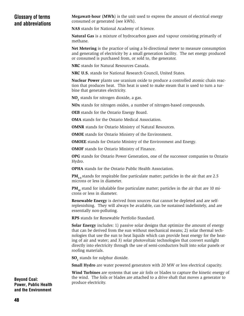# Glossary of terms and abbreviations

**Megawatt-hour (MWh**) is the unit used to express the amount of electrical energy consumed or generated (see kWh).

**NAS** stands for National Academy of Science.

**Natural Gas** is a mixture of hydrocarbon gases and vapour consisting primarily of methane.

**Net Metering** is the practice of using a bi-directional meter to measure consumption and generating of electricity by a small generation facility. The net energy produced or consumed is purchased from, or sold to, the generator.

**NRC** stands for Natural Resources Canada.

**NRC U.S.** stands for National Research Council, United States.

**Nuclear Power** plants use uranium oxide to produce a controlled atomic chain reaction that produces heat. This heat is used to make steam that is used to turn a turbine that generates electricity.

NO<sub>2</sub> stands for nitrogen dioxide, a gas.

**NOx** stands for nitrogen oxides, a number of nitrogen-based compounds.

**OEB** stands for the Ontario Energy Board.

**OMA** stands for the Ontario Medical Association.

**OMNR** stands for Ontario Ministry of Natural Resources.

**OMOE** stands for Ontario Ministry of the Environment.

**OMOEE** stands for Ontario Ministry of the Environment and Energy.

**OMOF** stands for Ontario Ministry of Finance.

**OPG** stands for Ontario Power Generation, one of the successor companies to Ontario Hydro.

**OPHA** stands for the Ontario Public Health Association.

**PM<sub>2</sub>**, stands for respirable fine particulate matter; particles in the air that are 2.5 microns or less in diameter.

PM<sub>10</sub> stand for inhalable fine particulate matter; particles in the air that are 10 microns or less in diameter.

**Renewable Energy** is derived from sources that cannot be depleted and are selfreplenishing. They will always be available, can be sustained indefinitely, and are essentially non-polluting.

**RPS** stands for Renewable Portfolio Standard.

**Solar Energy** includes: 1) passive solar designs that optimize the amount of energy that can be derived from the sun without mechanical means; 2) solar thermal technologies that use the sun to heat liquids which can provide heat energy for the heating of air and water; and 3) solar photovoltaic technologies that convert sunlight directly into electricity through the use of semi-conductors built into solar panels or roofing materials.

**SO**, stands for sulphur dioxide.

**Small Hydro** are water powered generators with 20 MW or less electrical capacity.

**Wind Turbines** are systems that use air foils or blades to capture the kinetic energy of the wind. The foils or blades are attached to a drive shaft that moves a generator to produce electricity.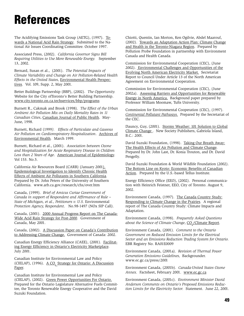# References

The Acidifying Emissions Task Group (AETG), (1997). Towards a National Acid Rain Strategy*.* Submitted to the National Air Issues Coordinating Committee. October 1997.

Associated Press, (2002). *California Governor Signs Bill Requiring Utilities to Use More Renewable Energy.* September 13, 2002.

Bernard, Susan et al., (2001). *The Potential Impacts of Climate Variability and Change on Air Pollution-Related Health Effects in the United States,* Environmental Health Perspectives*.* Vol. 109, Supp. 2, May 2001.

Better Buildings Partnership (BBP), (2002). *The Opportunity.* Website for the City ofToronto's Better Building Partnership. www.city.toronto.on.ca.techservices/bbp/programs

Burnett R., Cakmak and Brook (1998). *The Effect of the Urban Ambient Air Pollution Mix on Daily Mortality Rates in 11 Canadian Cities*, Canadian Journal of Public Health. May-June, 1998.

Burnett, Richard (1999*). Effects of Particulate and Gaseous Air Pollution on Cardiorespiratory Hospitalization*. Archives of Environmental Health*.* March 1999.

Burnett, Richard et al., (2001). *Association between Ozone and Hospitalization for Acute Respiratory Disease in Children Less than 2 Years of Age*. American Journal of Epidemiology. Vol 153. No.5.

California Air Resources Board (CARB) (January 2001). Epidemiological Investigation to Identify Chronic Health Effects of Ambient Air Pollutants in Southern California*.* Prepared by Dr. John Peters of the University of Southern California. www.arb.ca.gov/research/chs/over.htm

Canada, (1999). *Brief of Amicus Curiae Government of Canada in support of Respondent and Affirmance of Rule – State of Michigan, et al., Petitioners v. U.S.* Environmental *Protection Agency, Respondent*. No.98-1497 (NOx SIP Call).

Canada, (2001). 2000 Annual Progress Report on The Canada-Wide Acid Rain Strategy for Post-2000*.* Government of Canada, May 2001.

Canada, (2002). A Discussion Paper on Canada's Contribution to Addressing Climate Change. Government of Canada: 2002.

Canadian Energy Efficiency Alliance (CAEE), (2001). Facilitating Energy Efficiency in Ontario's Electricity Marketplace. July 2001.

Canadian Institute for Environmental Law and Policy (CIELAP), (1996).  $\underline{A CO}$ , Strategy for Ontario: A Discussion Paper.

Canadian Institute for Environmental Law and Policy (CIELAP), (2002). Green Power Opportunities For Ontario. Prepared for the Ontario Legislature Alternative Fuels Committee, the Toronto Renewable Energy Cooperative and the David Suzuki Foundation.

Chiotti, Quentin, Ian Morton, Ken Ogilvie, Abdel Maarouf, (2002). Towards an Adaptation Action Plan: Climate Change and Health in the Toronto-Niagara Region. Prepared by Pollution Probe Foundation in partnership with Environment Canada and Health Canada.

Commission for Environmental Cooperation (CEC), (June 2002). Environmental Challenges and Opportunities of the Evolving North American Electricity Market*.* Secretariat Report to Council Under Article 13 of the North American Agreement on Environmental Cooperation.

Commission for Environmental Cooperation (CEC), (June 2002a). Assessing Barriers and Opportunities for Renewable Energy in North America.Background paper prepared by Professor William Moomaw, Tufts University.

Commission for Environmental Cooperation (CEC), (1997). *Continental Pollutant Pathways.* Prepared by the Secretariat of the CEC.

Dauncy, Guy, (2001). Stormy Weather: 101 Solution to Global Climate Change . New Society Publishers, Gabriola Island, B.C.: 2001.

David Suzuki Foundation, (1998). Taking Our Breath Away: The Health Effects of Air Pollution and Climate Change. Prepared by Dr. John Last, Dr. Konia Trouton, and Dr. David Pengelly.

David Suzuki Foundation & World Wildlife Foundation (2002). The Bottom Line on Kyoto: Economic Benefits of Canadian Action. Prepared by the U.S.-based Tellus Institute.

Energy Efficiency Office (EEO), (2002). Personal communication with Heinrich Feistner, EEO, City of Toronto. August 9, 2002.

Environment Canada, (1997). The Canada Country Study: Responding to Climate Change in the Prairies*.* A regional report of The Canada Country Study: Climate Impacts and Adaptation.

Environment Canada, (1998). *Frequently Asked Questions* about the Science of Climate Change, <u>CO<sub>2</sub>/Climate Report</u>.

Environment Canada, (2001). *Comment to the Ontario Government on Reduced Emission Limits for the Electrical Sector and an Emissions Reduction Trading System for Ontario.* EBR Registry No. RA01E0009

Environment Canada, (2001a). *Revision of Thermal Power Generation Emissions Guidelines,* Backgrounder. www.ec.gc.ca/press/2001

Environment Canada, (2001b). *Canada-United States Ozone Annex.* Factsheet, February 2001. www.ec.gc.ca

Anderson Comments on Ontario's Proposed Emissions Reduction Limits for the Electricity Sector. Statement. June 22, 2001. Environment Canada, (2001c). *Environment Minister David*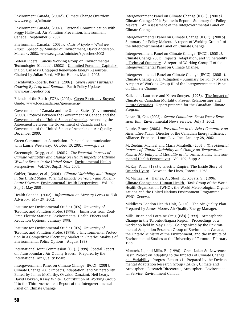Environment Canada, (2001d). Climate Change Overview. www.ec.gc.ca/climate

Environment Canada, (2002). Personal Communication with Peggy Hallward, Air Pollution Prevention, Environment Canada. September 6, 2002.

Environment Canada, (2002a). *Costs of Kyoto – What we Know.* Speech by Minister of Environment, David Anderson. March 4, 2002. www.ec.gc.ca/minister/speeches/2002

Federal Liberal Caucus Working Group on Environmental Technologies (Caucus), (2002). Unlimited Potential: Capitalizing on Canada's Untapped Renewable Energy Resources. Chaired by Julian Reed, MP for Halton, March 2002.

Fischlowitz-Roberts, Bernie, (2002). *Green Power Purchases Growing By Leap and Bounds.* Earth Policy Updates. www.earth-policy.org

Friends of the Earth (FOE), (2002). Green Electricity Buyers' Guide. www.foecanada.org/greenenergy

Governments of Canada and the United States (Governments), (2000). Protocol Between the Government of Canada and the Government of the United States of America*.* Amending the Agreement Between the Government of Canada and the Government of the United States of America on Air Quality. December 2000.

Green Communities Association. Personal communication with Laurie Westaway. October 10, 2002. www.gca.ca

Greenough, Gregg, et al., (2001*). The Potential Impacts of Climate Variability and Change on Health Impacts of Extreme Weather Events in the United States*, Environmental Health Perspectives*.* Vol.109, Sup.2, May 2001.

Gubler, Duane, et al., (2001). *Climate Variability and Change in the United States: Potential Impacts on Vector- and Rodent-Borne Diseases*, Environmental Health Perspectives*.* Vol.109, Sup.2, May 2001.

Health Canada, (2002). *Information on Mercury Levels in Fish*. Advisory. May 29, 2002.

Institute for Environmental Studies (IES), University of Toronto, and Pollution Probe, (1998a). Emissions from Coal-Fired Electric Stations: Environmental Health Effects and Reduction Options. January 1998.

Institute for Environmental Studies (IES), University of Toronto, and Pollution Probe, (1998b). Environmental Protection in a Competitive Electricity Market in Ontario: Analysis of Environmental Policy Options. August 1998.

International Joint Commission (IJC), (1998). Special Report on Transboundary Air Quality Issues.Prepared by the International Air Quality Board.

David Dokken, Kasey White. Contribution of Working Group II to the Third Assessment Report of the Intergovernmental Panel on Climate Change. Intergovernment Panel on Climate Change (IPCC), (2001*).* Climate Change 2001: Impacts, Adaptation, and Vulnerability. Edited by James McCarthy, Osvaldo Canziani, Neil Leary,

Intergovernment Panel on Climate Change (IPCC), (2001a*).* Climate Change 2001: Synthesis Report - Summary for Policy Makers. An Assessment of the Intergovernmental Panel on Climate Change.

Intergovernmental Panel on Climate Change (IPCC), (2001b). Summary for Policy Makers. A report of Working Group 1 of the Intergovernmental Panel on Climate Change.

Intergovernment Panel on Climate Change (IPCC), (2001c*).* Climate Change 2001: Impacts, Adaptation, and Vulnerability – Technical Summary. A report of Working Group II of the Intergovernmental Panel on Climate Change.

Intergovernmental Panel on Climate Change (IPCC), (2001d). Climate Change 2001: Mitigation - Summary for Policy Makers. A report of Working Group III of the Intergovernmental Panel on Climate Change.

Kalkstein, Laurence and Karen Smoyer, (1993). The Impact of Climate on Canadian Mortality: Present Relationships and Future Scenarios. Report prepared for the Canadian Climate Program.

Lazarofff, Cat, (2002). *Senate Committee Backs Power Emissions Bill.* Environmental News Service. July 3, 2002.

Lourie, Bruce, (2002). *Presentation to the Select Committee on Alternative Fuels.* Director of the Canadian Energy Efficiency Alliance, Principal, LourieLove Inc. January 28, 2002.

McGeehin, Michael and Maria Mirabelli, (2001). *The Potential Impacts of Climate Variability and Change on Temperature-Related Morbidity and Mortality in the United States,* Environmental Health Perspectives*.* Vol. 109, Supp 2.

McKay, Paul. (1983). Electric Empire: The Inside Story of Ontario Hydro*.* Between the Lines, Toronto: 1983.

McMichael, A., Haines, A., Sloof, R., Kovats, S., (1996). Climate Change and Human Health.Task Group of the World Health Organization (WHO), the World Meteorological Organizations and the United Nations Environment Programme. WHO, Geneva.

Middlesex-London Health Unit, (2001). The Air Quality Plan*.* Prepared by James Moore, Air Quality Energy Manager.

Mills, Brian and Lorraine Craig (Eds) (1999). Atmospheric Change in the Toronto-Niagara Region. Proceedings of a workshop held in May 1998. Co-organized by the Environmental Adaptation Research Group of Environment Canada, the Ontario Ministry of the Environment, and the Institute of Environmental Studies at the University of Toronto. February 1999.

Mortsch, L., and Mills, B., (1996). Great Lakes-St. Lawrence Basin Project on Adapting to the Impacts of Climate Change and Variability. Progress Report #1. Prepared by the Environmental Adaptation Research Group (EARG), Climate and Atmospheric Research Directorate, Atmospheric Environmental Service, Environment Canada.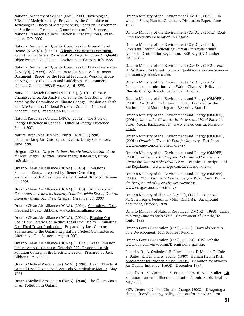National Academy of Science (NAS), 2000. Toxicological Effects of Methylmercury. Prepared by the Committee on Toxicological Effects of Methylmercury, Board on Environmental Studies and Toxicology, Commission on Life Sciences, National Research Council. National Academy Press, Washington, DC: 2000.

National Ambient Air Quality Objectives for Ground Level Ozone (NAAQO), (1999a)*.* Science Assessment Document. Report by the Federal Provincial Working Group on Air Quality Objectives and Guidelines. Environment Canada: July 1999.

National Ambient Air Quality Objectives for Particulate Matter (NAAQO), (1999b)*.* Addendum to the Science Assessment Document. Report by the Federal Provincial Working Group on Air Quality Objectives and Guidelines. Environment Canada: October 1997; Revised April 1999.

National Research Council (NRC U.S.), (2001). Climate Change Science: An Analysis of Some Key Questions.Prepared by the Committee of Climate Change, Division on Earth and Life Sciences, National Research Council. National Academy Press, Washington D.C.: 2001.

Natural Resources Canada (NRC). (2001a). The State of Energy Efficiency in Canada. Office of Energy Efficiency Report 2001.

Natural Resources Defence Council (NRDC), (1998). Benchmarking Air Emissions of Electric Utility Generators. June 1998.

Oregon, (2002). *Oregon Carbon Dioxide Emissions Standards for New Energy Facilities*. www.energy.state.or.us/siting/ co2std.htm

Ontario Clean Air Alliance (OCAA), (1998). Emissions Reduction Study. Prepared by Diener Consulting Inc. in association with Acres International Limited, Toronto: November 1998.

Ontario Clean Air Alliance (OCAA), (2000). *Ontario Power Generation Increases its Mercury Pollution while Rest of Ontario Economy Clean Up. Press Release. December 13, 2000.*

Ontario Clean Air Alliance (OCAA), (2001). Countdown Coal. Prepared by Jack Gibbons. www.cleanairalliance.org.

Ontario Clean Air Alliance (OCAA), (2001a). Phasing Out Coal: How Ontario Can Reduce Fossil Fuel Use by Eliminating Coal Fired Power Production. Prepared by Jack Gibbons. Submission to the Ontario Legislature's Select Committee on Alternative Fuel Sources. August 2001.

Ontario Clean Air Alliance (OCAA), (2001b). Weak Emission Limits: An Assessment of Ontario's 2001 Proposal for Air Pollution Control in the Electricity Sector. Prepared by Jack Gibbons. May 2001.

Ontario Medical Association (OMA), (1998). Health Effects of Ground-Level Ozone, Acid Aerosols & Particulate Matter. May 1998.

Ontario Medical Association (OMA), (2000). The Illness Costs of Air Pollution in Ontario.

Ontario Ministry of the Environment (OMOE), (1996). Towards a Smog Plan for Ontario: A Discussion Paper. June 1996.

Ontario Ministry of the Environment (OMOE), (2001a). Coal-Fired Electricity Generation in Ontario.

Ontario Ministry of the Environment (OMOE), (2001b). *Lakeview Thermal Generating Station Emissions Limits.* Notice of Decision for Regulation. EBR Registry Number: RA01E0014

Ontario Ministry of the Environment (OMOE), (2002). *Fine Particulates.* Fact Sheet. www.airqualityontario.com/science/ pollutants/particulates.cfm.

Ontario Ministry of the Environment (OMOE), (2002a). Personal communication with Walter Chan, Air Policy and Climate Change Branch, September 11, 2002.

Ontario Ministry of the Environment and Energy (OMOEE), (2001). Air Quality in Ontario in 2000. Prepared by the Environmental Monitoring and Reporting Branch.

Ontario Ministry of the Environment and Energy (OMOEE), (2001a). *Innovative Clean Air Initiatives and Hard Emission Caps.* Media Backgrounder. www.ene.gov.on.ca/envision/ news/

Ontario Ministry of the Environment and Energy (OMOEE), (2001b) *Ontario's Clean-Air Plan for Industry.* Fact Sheet. www.ene.gov.on.ca/envision/news/

Ontario Ministry of the Environment and Energy (OMOEE), (2001c). *Emissions Trading and NOx and SO2 Emissions Limits for Ontario's Electrical Sector.* Technical Description of the Regulation. www.ene.gov.on.ca/envision/news

Ontario Ministry of the Environment and Energy (OMOEE), (2002). *FAQs: Electricity Restructuring – Who, What, Why – the Background of Electricity Restructuring*. www.est.gov.on.ca/electricity/

Ontario Ministry of Finance (OMOF), (1998). *Financial Restructuring & Preliminary Stranded Debt.* Background document, October, 1998.

Ontario Ministry of Natural Resources (OMNR), (1998). *Guide to Eating Ontario Sports Fish.* Government of Ontario, Toronto: 1998.

Ontario Power Generation (OPG), (2002). Towards Sustainable Development: 2001 Progress Report.

Ontario Power Generation (OPG), (2002a). OPG website. www.opg.com/envComm/E\_emissions\_gas.asp.

Pengelly D., A. Szakolcai, B. Birmingham, P. Muller, D. Cole, S. Bailey, R. Bell and A. Socha, (1997). Human Health Risk Assessment for Priority Air pollutants. Hamilton-Wentworth Air Quality Initiative (HAQI). December 1997.

Pengelly D., M. Campbell, S. Ennis, F. Ursitti, A. Li-Muller. Air Pollution Burden of Illness in Toronto. Toronto Public Health; May 2000.

PEW Center on Global Climate Change, (2002). Designing a climate-friendly energy policy: Options for the Near Term.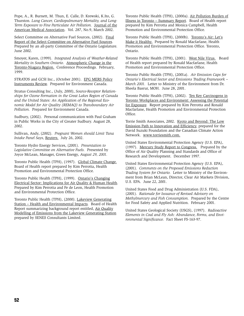Pope, A., R. Burnett, M. Thun, E. Calle, D. Krewski, K.Ito, G. Thurston. *Lung Cancer, Cardiopulmonary Mortality, and Long-Term Exposure to Fine Particulate Air Pollution.* Journal of the American Medical Association. Vol. 287, No.9, March 2002.

Select Committee on Alternative Fuel Sources, (2002). Final Report of the Select Committee on Alternative Fuel Sources. Prepared by an all-party Committee of the Ontario Legislature. June 2002.

Smoyer, Karen, (1999). *Integrated Analysis of Weather-Related Mortality in Southern Ontario.* Atmospheric Change in the Toronto-Niagara Region. Conference Proceedings. February, 1999.

STRATOS and GCSI Inc., (October 2001). EPG MERS Policy Instruments Review. Prepared for Environment Canada.

Stratus Consulting Inc., (July, 2000), *Source-Receptor Relationships for Ozone Formation in the Great Lakes Region of Canada and the United States: An Application of the Regional Economic Model for Air Quality (REMAQ) to Transboundary Air Pollution.* Prepared for Environment Canada.

Sudbury, (2002). Personal communication with Paul Graham in Public Works in the City of Greater Sudbury. August 28, 2002.

Sullivan, Andy, (2002). *Pregnant Women should Limit Tuna Intake Panel Says,* Reuters. July 26, 2002.

Toronto Hydro Energy Services, (2001). *Presentation to Legislative Committee on Alternative Fuels.* Presented by Joyce McLean, Manager, Green Energy, *August 29, 2001.*

Toronto Public Health (TPH), (1997). Global Climate Change. Board of Health report prepared by Kim Perrotta, Health Promotion and Environmental Protection Office.

Toronto Public Health (TPH), (1999). Ontario's Changing Electrical Sector: Implications for Air Quality & Human Health*.* Prepared by Kim Perrotta and Fe de Leon, Health Promotion and Environmental Protection Office.

Toronto Public Health (TPH), (2000). Lakeview Generating Station – Health and Environmental Impacts*.* Board of Health Report summarizing background report entitled, Air Quality Modelling of Emissions from the Lakeview Generating Station prepared by SENES Consultants Limited.

Toronto Public Health (TPH), (2000a). Air Pollution Burden of Illness in Toronto – Summary Report*.* Board of Health report prepared by Kim Perrotta and Monica Campbell, Health Promotion and Environmental Protection Office.

Toronto Public Health (TPH), (2000b). Toronto's Air: Let's Make it Healthy. Prepared by Ronald Macfarlane, Health Promotion and Environmental Protection Office. Toronto, Ontario.

Toronto Public Health (TPH), (2001). West Nile Virus.Board of Health report prepared by Ronald Macfarlane, Health Promotion and Environmental Protection Office.

Toronto Public Health (TPH), (2001a). *Air Emission Caps for Ontario's Electrical Sector and Emissions Trading Framework – March 2001.* Letter to Ministry of the Environment from Dr. Sheela Basrur, MOH. June 28, 2001.

Toronto Public Health (TPH), (2002). Ten Key Carcinogens in Toronto Workplaces and Environment: Assessing the Potential for Exposure. Report prepared by Kim Perrotta and Ronald Macfarlane, Health Promotion and Environmental Protection Office.

Torrie Smith Associates, 2002. Kyoto and Beyond: The Low Emission Path to Innovation and Efficiency, prepared for the David Suzuki Foundation and the Canadian Climate Action Network. www.torriesmith.com.

United States Environmental Protection Agency (U.S. EPA), (1997). Mercury Study Report to Congress.Prepared by the Office of Air Quality Planning and Standards and Office of Research and Development. December 1997.

United States Environmental Protection Agency (U.S. EPA), (2001). *Comments on the Proposed Emissions Reduction Trading System for Ontario.* Letter to Ministry of the Environment from Brian McLean, Director, Clear Air Markets Division, U.S. EPA. June 22, 2001.

United States Food and Drug Administration (U.S. FDA), (2001). *Rationale for Issuance of Revised Advisory on Methylmercury and Fish Consumption.* Prepared by the Centre for Food Safety and Applied Nutrition. February 2001.

United States Geological Society (USGS), (1997). *Radioactive Elements in Coal and Fly Ash: Abundance, Forms, and Environmental Significance.* Fact Sheet FS-163-97.